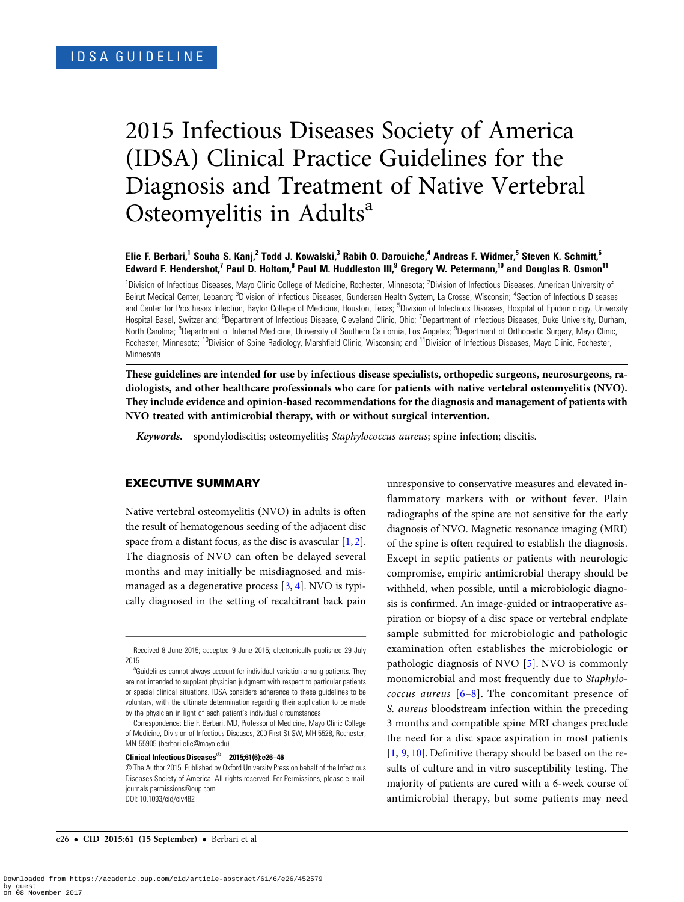# 2015 Infectious Diseases Society of America (IDSA) Clinical Practice Guidelines for the Diagnosis and Treatment of Native Vertebral Osteomyelitis in Adults<sup>a</sup>

### Elie F. Berbari,<sup>1</sup> Souha S. Kanj,<sup>2</sup> Todd J. Kowalski,<sup>3</sup> Rabih O. Darouiche,<sup>4</sup> Andreas F. Widmer,<sup>5</sup> Steven K. Schmitt,<sup>6</sup> Edward F. Hendershot,<sup>7</sup> Paul D. Holtom,<sup>8</sup> Paul M. Huddleston III,<sup>9</sup> Gregory W. Petermann,<sup>10</sup> and Douglas R. Osmon<sup>11</sup>

<sup>1</sup>Division of Infectious Diseases, Mayo Clinic College of Medicine, Rochester, Minnesota; <sup>2</sup>Division of Infectious Diseases, American University of Beirut Medical Center, Lebanon; <sup>3</sup>Division of Infectious Diseases, Gundersen Health System, La Crosse, Wisconsin; <sup>4</sup>Section of Infectious Diseases and Center for Prostheses Infection, Baylor College of Medicine, Houston, Texas; <sup>5</sup>Division of Infectious Diseases, Hospital of Epidemiology, University Hospital Basel, Switzerland; <sup>6</sup>Department of Infectious Disease, Cleveland Clinic, Ohio; <sup>7</sup>Department of Infectious Diseases, Duke University, Durham, North Carolina; <sup>8</sup>Department of Internal Medicine, University of Southern California, Los Angeles; <sup>9</sup>Department of Orthopedic Surgery, Mayo Clinic, Rochester, Minnesota; <sup>10</sup>Division of Spine Radiology, Marshfield Clinic, Wisconsin; and <sup>11</sup>Division of Infectious Diseases, Mayo Clinic, Rochester, Minnesota

These guidelines are intended for use by infectious disease specialists, orthopedic surgeons, neurosurgeons, radiologists, and other healthcare professionals who care for patients with native vertebral osteomyelitis (NVO). They include evidence and opinion-based recommendations for the diagnosis and management of patients with NVO treated with antimicrobial therapy, with or without surgical intervention.

Keywords. spondylodiscitis; osteomyelitis; Staphylococcus aureus; spine infection; discitis.

#### EXECUTIVE SUMMARY

Native vertebral osteomyelitis (NVO) in adults is often the result of hematogenous seeding of the adjacent disc space from a distant focus, as the disc is avascular  $[1, 2]$  $[1, 2]$  $[1, 2]$  $[1, 2]$ . The diagnosis of NVO can often be delayed several months and may initially be misdiagnosed and mismanaged as a degenerative process [\[3,](#page-17-0) [4\]](#page-17-0). NVO is typically diagnosed in the setting of recalcitrant back pain

Received 8 June 2015; accepted 9 June 2015; electronically published 29 July 2015.

#### Clinical Infectious Diseases® 2015;61(6):e26–46

unresponsive to conservative measures and elevated inflammatory markers with or without fever. Plain radiographs of the spine are not sensitive for the early diagnosis of NVO. Magnetic resonance imaging (MRI) of the spine is often required to establish the diagnosis. Except in septic patients or patients with neurologic compromise, empiric antimicrobial therapy should be withheld, when possible, until a microbiologic diagnosis is confirmed. An image-guided or intraoperative aspiration or biopsy of a disc space or vertebral endplate sample submitted for microbiologic and pathologic examination often establishes the microbiologic or pathologic diagnosis of NVO [\[5](#page-17-0)]. NVO is commonly monomicrobial and most frequently due to Staphylococcus aureus [\[6](#page-17-0)–[8](#page-17-0)]. The concomitant presence of S. aureus bloodstream infection within the preceding 3 months and compatible spine MRI changes preclude the need for a disc space aspiration in most patients [\[1,](#page-17-0) [9,](#page-17-0) [10](#page-17-0)]. Definitive therapy should be based on the results of culture and in vitro susceptibility testing. The majority of patients are cured with a 6-week course of antimicrobial therapy, but some patients may need

<sup>&</sup>lt;sup>a</sup>Guidelines cannot always account for individual variation among patients. They are not intended to supplant physician judgment with respect to particular patients or special clinical situations. IDSA considers adherence to these guidelines to be voluntary, with the ultimate determination regarding their application to be made by the physician in light of each patient's individual circumstances.

Correspondence: Elie F. Berbari, MD, Professor of Medicine, Mayo Clinic College of Medicine, Division of Infectious Diseases, 200 First St SW, MH 5528, Rochester, MN 55905 ([berbari.elie@mayo.edu\)](mailto:berbari.elie@mayo.edu).

<sup>©</sup> The Author 2015. Published by Oxford University Press on behalf of the Infectious Diseases Society of America. All rights reserved. For Permissions, please e-mail: [journals.permissions@oup.com](mailto:journals.permissions@oup.com). DOI: 10.1093/cid/civ482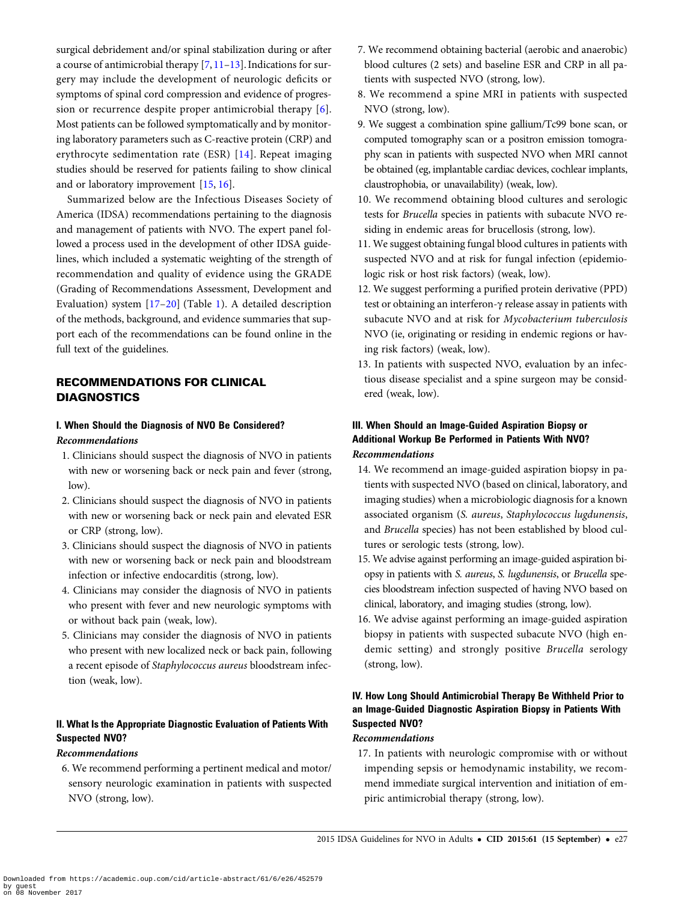surgical debridement and/or spinal stabilization during or after a course of antimicrobial therapy [[7](#page-17-0), [11](#page-17-0)–[13\]](#page-17-0). Indications for surgery may include the development of neurologic deficits or symptoms of spinal cord compression and evidence of progression or recurrence despite proper antimicrobial therapy [[6](#page-17-0)]. Most patients can be followed symptomatically and by monitoring laboratory parameters such as C-reactive protein (CRP) and erythrocyte sedimentation rate (ESR) [\[14\]](#page-17-0). Repeat imaging studies should be reserved for patients failing to show clinical and or laboratory improvement [\[15](#page-17-0), [16\]](#page-17-0).

Summarized below are the Infectious Diseases Society of America (IDSA) recommendations pertaining to the diagnosis and management of patients with NVO. The expert panel followed a process used in the development of other IDSA guidelines, which included a systematic weighting of the strength of recommendation and quality of evidence using the GRADE (Grading of Recommendations Assessment, Development and Evaluation) system [[17](#page-17-0)–[20](#page-17-0)] (Table [1\)](#page-2-0). A detailed description of the methods, background, and evidence summaries that support each of the recommendations can be found online in the full text of the guidelines.

# RECOMMENDATIONS FOR CLINICAL **DIAGNOSTICS**

### I. When Should the Diagnosis of NVO Be Considered? Recommendations

- 1. Clinicians should suspect the diagnosis of NVO in patients with new or worsening back or neck pain and fever (strong, low).
- 2. Clinicians should suspect the diagnosis of NVO in patients with new or worsening back or neck pain and elevated ESR or CRP (strong, low).
- 3. Clinicians should suspect the diagnosis of NVO in patients with new or worsening back or neck pain and bloodstream infection or infective endocarditis (strong, low).
- 4. Clinicians may consider the diagnosis of NVO in patients who present with fever and new neurologic symptoms with or without back pain (weak, low).
- 5. Clinicians may consider the diagnosis of NVO in patients who present with new localized neck or back pain, following a recent episode of Staphylococcus aureus bloodstream infection (weak, low).

# II. What Is the Appropriate Diagnostic Evaluation of Patients With Suspected NVO?

### Recommendations

6. We recommend performing a pertinent medical and motor/ sensory neurologic examination in patients with suspected NVO (strong, low).

- 7. We recommend obtaining bacterial (aerobic and anaerobic) blood cultures (2 sets) and baseline ESR and CRP in all patients with suspected NVO (strong, low).
- 8. We recommend a spine MRI in patients with suspected NVO (strong, low).
- 9. We suggest a combination spine gallium/Tc99 bone scan, or computed tomography scan or a positron emission tomography scan in patients with suspected NVO when MRI cannot be obtained (eg, implantable cardiac devices, cochlear implants, claustrophobia, or unavailability) (weak, low).
- 10. We recommend obtaining blood cultures and serologic tests for Brucella species in patients with subacute NVO residing in endemic areas for brucellosis (strong, low).
- 11. We suggest obtaining fungal blood cultures in patients with suspected NVO and at risk for fungal infection (epidemiologic risk or host risk factors) (weak, low).
- 12. We suggest performing a purified protein derivative (PPD) test or obtaining an interferon-γ release assay in patients with subacute NVO and at risk for Mycobacterium tuberculosis NVO (ie, originating or residing in endemic regions or having risk factors) (weak, low).
- 13. In patients with suspected NVO, evaluation by an infectious disease specialist and a spine surgeon may be considered (weak, low).

# III. When Should an Image-Guided Aspiration Biopsy or Additional Workup Be Performed in Patients With NVO? Recommendations

- 14. We recommend an image-guided aspiration biopsy in patients with suspected NVO (based on clinical, laboratory, and imaging studies) when a microbiologic diagnosis for a known associated organism (S. aureus, Staphylococcus lugdunensis, and Brucella species) has not been established by blood cultures or serologic tests (strong, low).
- 15. We advise against performing an image-guided aspiration biopsy in patients with S. aureus, S. lugdunensis, or Brucella species bloodstream infection suspected of having NVO based on clinical, laboratory, and imaging studies (strong, low).
- 16. We advise against performing an image-guided aspiration biopsy in patients with suspected subacute NVO (high endemic setting) and strongly positive Brucella serology (strong, low).

# IV. How Long Should Antimicrobial Therapy Be Withheld Prior to an Image-Guided Diagnostic Aspiration Biopsy in Patients With Suspected NVO?

# Recommendations

17. In patients with neurologic compromise with or without impending sepsis or hemodynamic instability, we recommend immediate surgical intervention and initiation of empiric antimicrobial therapy (strong, low).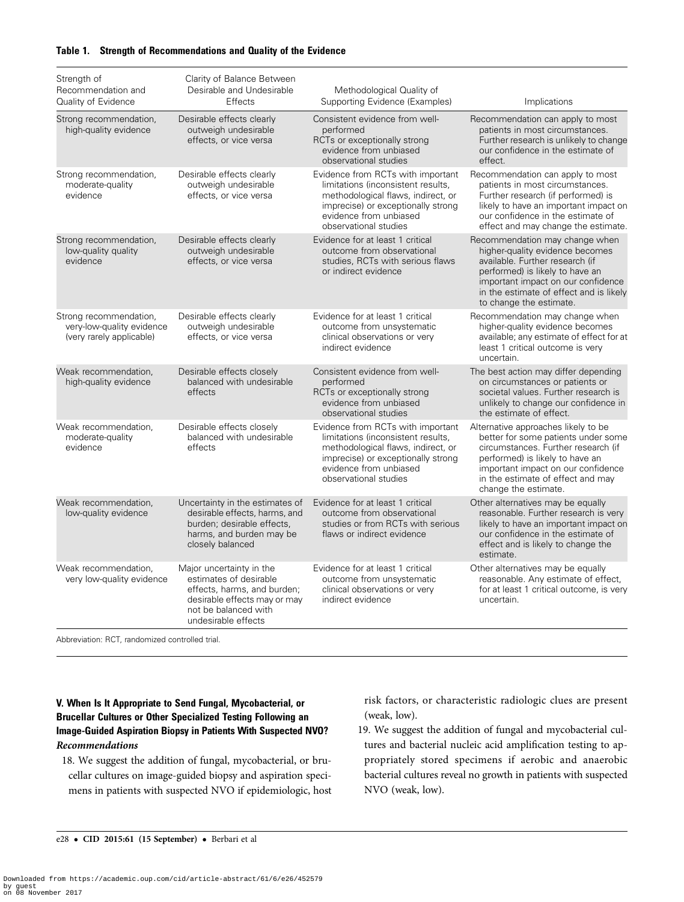| Strength of<br>Recommendation and<br>Quality of Evidence                        | Clarity of Balance Between<br>Desirable and Undesirable<br>Effects                                                                                               | Methodological Quality of<br>Supporting Evidence (Examples)                                                                                                                                            | Implications                                                                                                                                                                                                                                            |
|---------------------------------------------------------------------------------|------------------------------------------------------------------------------------------------------------------------------------------------------------------|--------------------------------------------------------------------------------------------------------------------------------------------------------------------------------------------------------|---------------------------------------------------------------------------------------------------------------------------------------------------------------------------------------------------------------------------------------------------------|
| Strong recommendation,<br>high-quality evidence                                 | Desirable effects clearly<br>outweigh undesirable<br>effects, or vice versa                                                                                      | Consistent evidence from well-<br>performed<br>RCTs or exceptionally strong<br>evidence from unbiased<br>observational studies                                                                         | Recommendation can apply to most<br>patients in most circumstances.<br>Further research is unlikely to change<br>our confidence in the estimate of<br>effect.                                                                                           |
| Strong recommendation,<br>moderate-quality<br>evidence                          | Desirable effects clearly<br>outweigh undesirable<br>effects, or vice versa                                                                                      | Evidence from RCTs with important<br>limitations (inconsistent results,<br>methodological flaws, indirect, or<br>imprecise) or exceptionally strong<br>evidence from unbiased<br>observational studies | Recommendation can apply to most<br>patients in most circumstances.<br>Further research (if performed) is<br>likely to have an important impact on<br>our confidence in the estimate of<br>effect and may change the estimate.                          |
| Strong recommendation,<br>low-quality quality<br>evidence                       | Desirable effects clearly<br>outweigh undesirable<br>effects, or vice versa                                                                                      | Evidence for at least 1 critical<br>outcome from observational<br>studies, RCTs with serious flaws<br>or indirect evidence                                                                             | Recommendation may change when<br>higher-quality evidence becomes<br>available. Further research (if<br>performed) is likely to have an<br>important impact on our confidence<br>in the estimate of effect and is likely<br>to change the estimate.     |
| Strong recommendation,<br>very-low-quality evidence<br>(very rarely applicable) | Desirable effects clearly<br>outweigh undesirable<br>effects, or vice versa                                                                                      | Evidence for at least 1 critical<br>outcome from unsystematic<br>clinical observations or very<br>indirect evidence                                                                                    | Recommendation may change when<br>higher-quality evidence becomes<br>available; any estimate of effect for at<br>least 1 critical outcome is very<br>uncertain.                                                                                         |
| Weak recommendation,<br>high-quality evidence                                   | Desirable effects closely<br>balanced with undesirable<br>effects                                                                                                | Consistent evidence from well-<br>performed<br>RCTs or exceptionally strong<br>evidence from unbiased<br>observational studies                                                                         | The best action may differ depending<br>on circumstances or patients or<br>societal values. Further research is<br>unlikely to change our confidence in<br>the estimate of effect.                                                                      |
| Weak recommendation,<br>moderate-quality<br>evidence                            | Desirable effects closely<br>balanced with undesirable<br>effects                                                                                                | Evidence from RCTs with important<br>limitations (inconsistent results,<br>methodological flaws, indirect, or<br>imprecise) or exceptionally strong<br>evidence from unbiased<br>observational studies | Alternative approaches likely to be<br>better for some patients under some<br>circumstances. Further research (if<br>performed) is likely to have an<br>important impact on our confidence<br>in the estimate of effect and may<br>change the estimate. |
| Weak recommendation,<br>low-quality evidence                                    | Uncertainty in the estimates of<br>desirable effects, harms, and<br>burden; desirable effects,<br>harms, and burden may be<br>closely balanced                   | Evidence for at least 1 critical<br>outcome from observational<br>studies or from RCTs with serious<br>flaws or indirect evidence                                                                      | Other alternatives may be equally<br>reasonable. Further research is very<br>likely to have an important impact on<br>our confidence in the estimate of<br>effect and is likely to change the<br>estimate.                                              |
| Weak recommendation,<br>very low-quality evidence                               | Major uncertainty in the<br>estimates of desirable<br>effects, harms, and burden;<br>desirable effects may or may<br>not be balanced with<br>undesirable effects | Evidence for at least 1 critical<br>outcome from unsystematic<br>clinical observations or very<br>indirect evidence                                                                                    | Other alternatives may be equally<br>reasonable. Any estimate of effect,<br>for at least 1 critical outcome, is very<br>uncertain.                                                                                                                      |

#### <span id="page-2-0"></span>Table 1. Strength of Recommendations and Quality of the Evidence

Abbreviation: RCT, randomized controlled trial.

# V. When Is It Appropriate to Send Fungal, Mycobacterial, or Brucellar Cultures or Other Specialized Testing Following an Image-Guided Aspiration Biopsy in Patients With Suspected NVO? Recommendations

18. We suggest the addition of fungal, mycobacterial, or brucellar cultures on image-guided biopsy and aspiration specimens in patients with suspected NVO if epidemiologic, host risk factors, or characteristic radiologic clues are present (weak, low).

19. We suggest the addition of fungal and mycobacterial cultures and bacterial nucleic acid amplification testing to appropriately stored specimens if aerobic and anaerobic bacterial cultures reveal no growth in patients with suspected NVO (weak, low).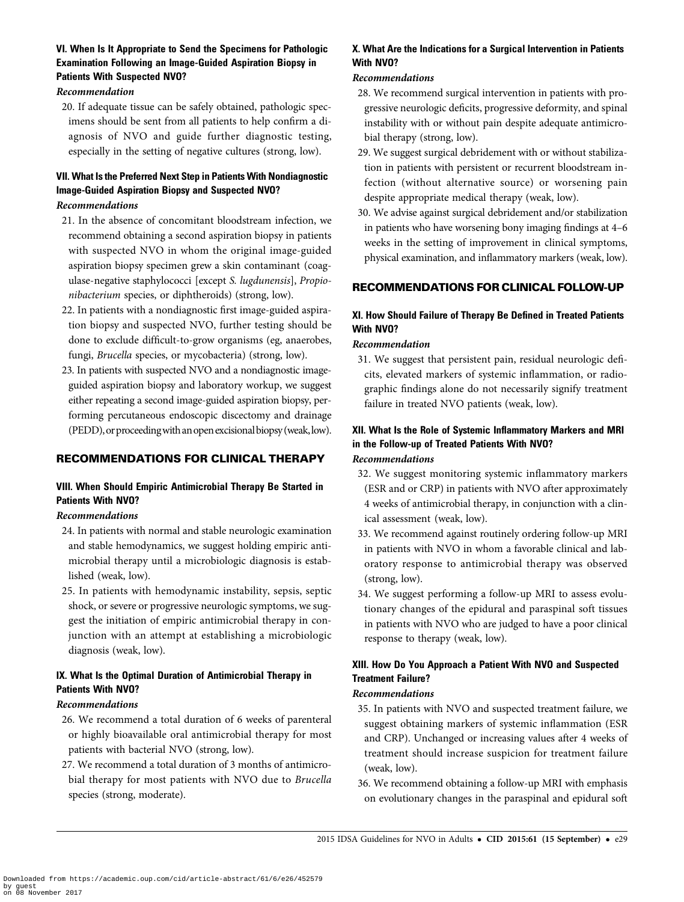# VI. When Is It Appropriate to Send the Specimens for Pathologic Examination Following an Image-Guided Aspiration Biopsy in Patients With Suspected NVO?

# Recommendation

20. If adequate tissue can be safely obtained, pathologic specimens should be sent from all patients to help confirm a diagnosis of NVO and guide further diagnostic testing, especially in the setting of negative cultures (strong, low).

### VII. What Is the Preferred Next Step in Patients With Nondiagnostic Image-Guided Aspiration Biopsy and Suspected NVO? Recommendations

- 21. In the absence of concomitant bloodstream infection, we recommend obtaining a second aspiration biopsy in patients with suspected NVO in whom the original image-guided aspiration biopsy specimen grew a skin contaminant (coagulase-negative staphylococci [except S. lugdunensis], Propionibacterium species, or diphtheroids) (strong, low).
- 22. In patients with a nondiagnostic first image-guided aspiration biopsy and suspected NVO, further testing should be done to exclude difficult-to-grow organisms (eg, anaerobes, fungi, Brucella species, or mycobacteria) (strong, low).
- 23. In patients with suspected NVO and a nondiagnostic imageguided aspiration biopsy and laboratory workup, we suggest either repeating a second image-guided aspiration biopsy, performing percutaneous endoscopic discectomy and drainage (PEDD), or proceeding with an open excisional biopsy (weak, low).

# RECOMMENDATIONS FOR CLINICAL THERAPY

# VIII. When Should Empiric Antimicrobial Therapy Be Started in Patients With NVO?

# Recommendations

- 24. In patients with normal and stable neurologic examination and stable hemodynamics, we suggest holding empiric antimicrobial therapy until a microbiologic diagnosis is established (weak, low).
- 25. In patients with hemodynamic instability, sepsis, septic shock, or severe or progressive neurologic symptoms, we suggest the initiation of empiric antimicrobial therapy in conjunction with an attempt at establishing a microbiologic diagnosis (weak, low).

# IX. What Is the Optimal Duration of Antimicrobial Therapy in Patients With NVO?

# Recommendations

- 26. We recommend a total duration of 6 weeks of parenteral or highly bioavailable oral antimicrobial therapy for most patients with bacterial NVO (strong, low).
- 27. We recommend a total duration of 3 months of antimicrobial therapy for most patients with NVO due to Brucella species (strong, moderate).

# X. What Are the Indications for a Surgical Intervention in Patients With NVO?

# Recommendations

- 28. We recommend surgical intervention in patients with progressive neurologic deficits, progressive deformity, and spinal instability with or without pain despite adequate antimicrobial therapy (strong, low).
- 29. We suggest surgical debridement with or without stabilization in patients with persistent or recurrent bloodstream infection (without alternative source) or worsening pain despite appropriate medical therapy (weak, low).
- 30. We advise against surgical debridement and/or stabilization in patients who have worsening bony imaging findings at 4–6 weeks in the setting of improvement in clinical symptoms, physical examination, and inflammatory markers (weak, low).

# RECOMMENDATIONS FOR CLINICAL FOLLOW-UP

# XI. How Should Failure of Therapy Be Defined in Treated Patients With NVO?

# Recommendation

31. We suggest that persistent pain, residual neurologic deficits, elevated markers of systemic inflammation, or radiographic findings alone do not necessarily signify treatment failure in treated NVO patients (weak, low).

# XII. What Is the Role of Systemic Inflammatory Markers and MRI in the Follow-up of Treated Patients With NVO? Recommendations

- 32. We suggest monitoring systemic inflammatory markers (ESR and or CRP) in patients with NVO after approximately 4 weeks of antimicrobial therapy, in conjunction with a clinical assessment (weak, low).
- 33. We recommend against routinely ordering follow-up MRI in patients with NVO in whom a favorable clinical and laboratory response to antimicrobial therapy was observed (strong, low).
- 34. We suggest performing a follow-up MRI to assess evolutionary changes of the epidural and paraspinal soft tissues in patients with NVO who are judged to have a poor clinical response to therapy (weak, low).

# XIII. How Do You Approach a Patient With NVO and Suspected Treatment Failure?

- 35. In patients with NVO and suspected treatment failure, we suggest obtaining markers of systemic inflammation (ESR and CRP). Unchanged or increasing values after 4 weeks of treatment should increase suspicion for treatment failure (weak, low).
- 36. We recommend obtaining a follow-up MRI with emphasis on evolutionary changes in the paraspinal and epidural soft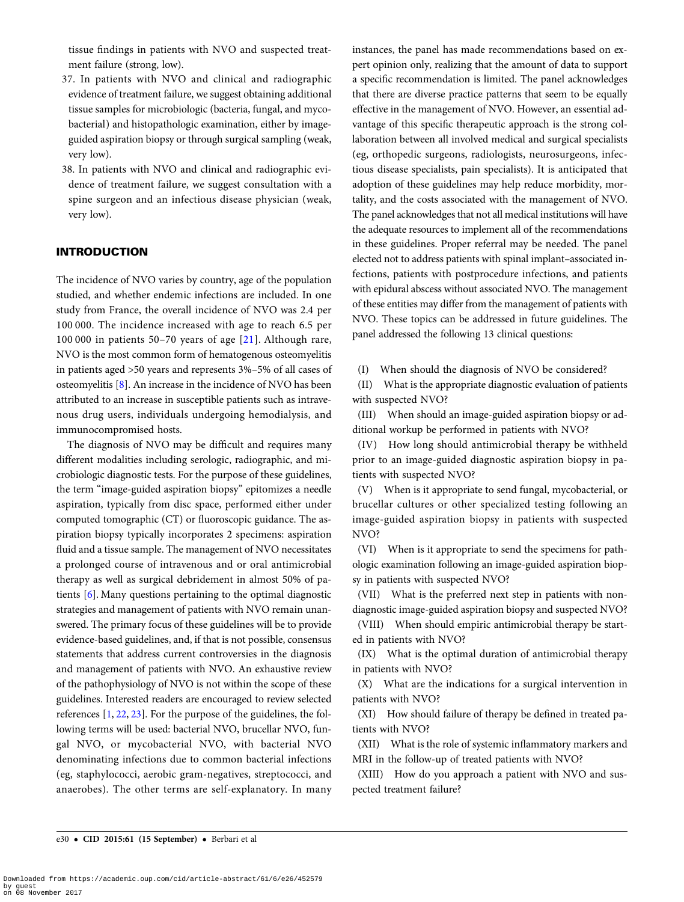tissue findings in patients with NVO and suspected treatment failure (strong, low).

- 37. In patients with NVO and clinical and radiographic evidence of treatment failure, we suggest obtaining additional tissue samples for microbiologic (bacteria, fungal, and mycobacterial) and histopathologic examination, either by imageguided aspiration biopsy or through surgical sampling (weak, very low).
- 38. In patients with NVO and clinical and radiographic evidence of treatment failure, we suggest consultation with a spine surgeon and an infectious disease physician (weak, very low).

### INTRODUCTION

The incidence of NVO varies by country, age of the population studied, and whether endemic infections are included. In one study from France, the overall incidence of NVO was 2.4 per 100 000. The incidence increased with age to reach 6.5 per 100 000 in patients 50–70 years of age [\[21\]](#page-17-0). Although rare, NVO is the most common form of hematogenous osteomyelitis in patients aged >50 years and represents 3%–5% of all cases of osteomyelitis [\[8\]](#page-17-0). An increase in the incidence of NVO has been attributed to an increase in susceptible patients such as intravenous drug users, individuals undergoing hemodialysis, and immunocompromised hosts.

The diagnosis of NVO may be difficult and requires many different modalities including serologic, radiographic, and microbiologic diagnostic tests. For the purpose of these guidelines, the term "image-guided aspiration biopsy" epitomizes a needle aspiration, typically from disc space, performed either under computed tomographic (CT) or fluoroscopic guidance. The aspiration biopsy typically incorporates 2 specimens: aspiration fluid and a tissue sample. The management of NVO necessitates a prolonged course of intravenous and or oral antimicrobial therapy as well as surgical debridement in almost 50% of patients [[6](#page-17-0)]. Many questions pertaining to the optimal diagnostic strategies and management of patients with NVO remain unanswered. The primary focus of these guidelines will be to provide evidence-based guidelines, and, if that is not possible, consensus statements that address current controversies in the diagnosis and management of patients with NVO. An exhaustive review of the pathophysiology of NVO is not within the scope of these guidelines. Interested readers are encouraged to review selected references [\[1,](#page-17-0) [22,](#page-17-0) [23\]](#page-17-0). For the purpose of the guidelines, the following terms will be used: bacterial NVO, brucellar NVO, fungal NVO, or mycobacterial NVO, with bacterial NVO denominating infections due to common bacterial infections (eg, staphylococci, aerobic gram-negatives, streptococci, and anaerobes). The other terms are self-explanatory. In many instances, the panel has made recommendations based on expert opinion only, realizing that the amount of data to support a specific recommendation is limited. The panel acknowledges that there are diverse practice patterns that seem to be equally effective in the management of NVO. However, an essential advantage of this specific therapeutic approach is the strong collaboration between all involved medical and surgical specialists (eg, orthopedic surgeons, radiologists, neurosurgeons, infectious disease specialists, pain specialists). It is anticipated that adoption of these guidelines may help reduce morbidity, mortality, and the costs associated with the management of NVO. The panel acknowledges that not all medical institutions will have the adequate resources to implement all of the recommendations in these guidelines. Proper referral may be needed. The panel elected not to address patients with spinal implant–associated infections, patients with postprocedure infections, and patients with epidural abscess without associated NVO. The management of these entities may differ from the management of patients with NVO. These topics can be addressed in future guidelines. The panel addressed the following 13 clinical questions:

(I) When should the diagnosis of NVO be considered?

(II) What is the appropriate diagnostic evaluation of patients with suspected NVO?

(III) When should an image-guided aspiration biopsy or additional workup be performed in patients with NVO?

(IV) How long should antimicrobial therapy be withheld prior to an image-guided diagnostic aspiration biopsy in patients with suspected NVO?

(V) When is it appropriate to send fungal, mycobacterial, or brucellar cultures or other specialized testing following an image-guided aspiration biopsy in patients with suspected NVO?

(VI) When is it appropriate to send the specimens for pathologic examination following an image-guided aspiration biopsy in patients with suspected NVO?

(VII) What is the preferred next step in patients with nondiagnostic image-guided aspiration biopsy and suspected NVO?

(VIII) When should empiric antimicrobial therapy be started in patients with NVO?

(IX) What is the optimal duration of antimicrobial therapy in patients with NVO?

(X) What are the indications for a surgical intervention in patients with NVO?

(XI) How should failure of therapy be defined in treated patients with NVO?

(XII) What is the role of systemic inflammatory markers and MRI in the follow-up of treated patients with NVO?

(XIII) How do you approach a patient with NVO and suspected treatment failure?

e30 • CID 2015:61 (15 September) • Berbari et al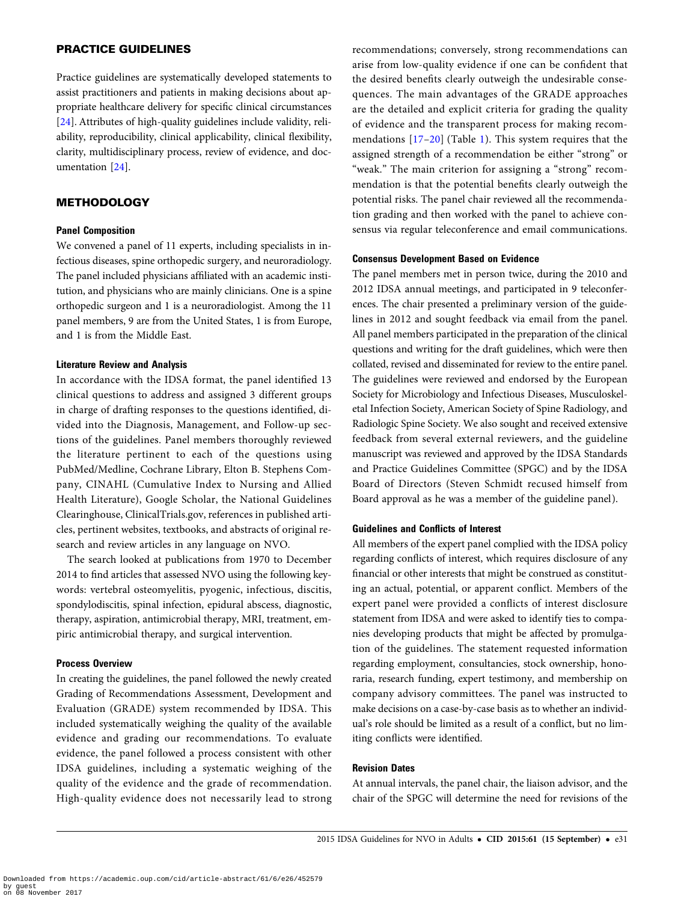### PRACTICE GUIDELINES

Practice guidelines are systematically developed statements to assist practitioners and patients in making decisions about appropriate healthcare delivery for specific clinical circumstances [\[24](#page-17-0)]. Attributes of high-quality guidelines include validity, reliability, reproducibility, clinical applicability, clinical flexibility, clarity, multidisciplinary process, review of evidence, and documentation [[24](#page-17-0)].

### **METHODOLOGY**

#### Panel Composition

We convened a panel of 11 experts, including specialists in infectious diseases, spine orthopedic surgery, and neuroradiology. The panel included physicians affiliated with an academic institution, and physicians who are mainly clinicians. One is a spine orthopedic surgeon and 1 is a neuroradiologist. Among the 11 panel members, 9 are from the United States, 1 is from Europe, and 1 is from the Middle East.

### Literature Review and Analysis

In accordance with the IDSA format, the panel identified 13 clinical questions to address and assigned 3 different groups in charge of drafting responses to the questions identified, divided into the Diagnosis, Management, and Follow-up sections of the guidelines. Panel members thoroughly reviewed the literature pertinent to each of the questions using PubMed/Medline, Cochrane Library, Elton B. Stephens Company, CINAHL (Cumulative Index to Nursing and Allied Health Literature), Google Scholar, the National Guidelines Clearinghouse, ClinicalTrials.gov, references in published articles, pertinent websites, textbooks, and abstracts of original research and review articles in any language on NVO.

The search looked at publications from 1970 to December 2014 to find articles that assessed NVO using the following keywords: vertebral osteomyelitis, pyogenic, infectious, discitis, spondylodiscitis, spinal infection, epidural abscess, diagnostic, therapy, aspiration, antimicrobial therapy, MRI, treatment, empiric antimicrobial therapy, and surgical intervention.

#### Process Overview

In creating the guidelines, the panel followed the newly created Grading of Recommendations Assessment, Development and Evaluation (GRADE) system recommended by IDSA. This included systematically weighing the quality of the available evidence and grading our recommendations. To evaluate evidence, the panel followed a process consistent with other IDSA guidelines, including a systematic weighing of the quality of the evidence and the grade of recommendation. High-quality evidence does not necessarily lead to strong

recommendations; conversely, strong recommendations can arise from low-quality evidence if one can be confident that the desired benefits clearly outweigh the undesirable consequences. The main advantages of the GRADE approaches are the detailed and explicit criteria for grading the quality of evidence and the transparent process for making recommendations [[17](#page-17-0)–[20](#page-17-0)] (Table [1](#page-2-0)). This system requires that the assigned strength of a recommendation be either "strong" or "weak." The main criterion for assigning a "strong" recommendation is that the potential benefits clearly outweigh the potential risks. The panel chair reviewed all the recommendation grading and then worked with the panel to achieve consensus via regular teleconference and email communications.

#### Consensus Development Based on Evidence

The panel members met in person twice, during the 2010 and 2012 IDSA annual meetings, and participated in 9 teleconferences. The chair presented a preliminary version of the guidelines in 2012 and sought feedback via email from the panel. All panel members participated in the preparation of the clinical questions and writing for the draft guidelines, which were then collated, revised and disseminated for review to the entire panel. The guidelines were reviewed and endorsed by the European Society for Microbiology and Infectious Diseases, Musculoskeletal Infection Society, American Society of Spine Radiology, and Radiologic Spine Society. We also sought and received extensive feedback from several external reviewers, and the guideline manuscript was reviewed and approved by the IDSA Standards and Practice Guidelines Committee (SPGC) and by the IDSA Board of Directors (Steven Schmidt recused himself from Board approval as he was a member of the guideline panel).

#### Guidelines and Conflicts of Interest

All members of the expert panel complied with the IDSA policy regarding conflicts of interest, which requires disclosure of any financial or other interests that might be construed as constituting an actual, potential, or apparent conflict. Members of the expert panel were provided a conflicts of interest disclosure statement from IDSA and were asked to identify ties to companies developing products that might be affected by promulgation of the guidelines. The statement requested information regarding employment, consultancies, stock ownership, honoraria, research funding, expert testimony, and membership on company advisory committees. The panel was instructed to make decisions on a case-by-case basis as to whether an individual's role should be limited as a result of a conflict, but no limiting conflicts were identified.

# Revision Dates

At annual intervals, the panel chair, the liaison advisor, and the chair of the SPGC will determine the need for revisions of the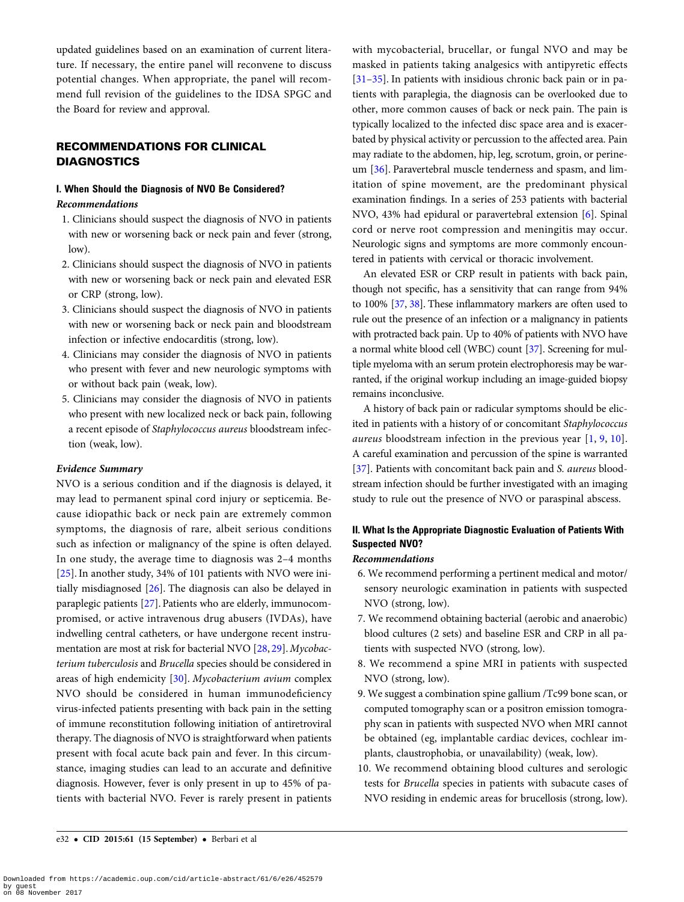updated guidelines based on an examination of current literature. If necessary, the entire panel will reconvene to discuss potential changes. When appropriate, the panel will recommend full revision of the guidelines to the IDSA SPGC and the Board for review and approval.

# RECOMMENDATIONS FOR CLINICAL **DIAGNOSTICS**

# I. When Should the Diagnosis of NVO Be Considered?

# Recommendations

- 1. Clinicians should suspect the diagnosis of NVO in patients with new or worsening back or neck pain and fever (strong, low).
- 2. Clinicians should suspect the diagnosis of NVO in patients with new or worsening back or neck pain and elevated ESR or CRP (strong, low).
- 3. Clinicians should suspect the diagnosis of NVO in patients with new or worsening back or neck pain and bloodstream infection or infective endocarditis (strong, low).
- 4. Clinicians may consider the diagnosis of NVO in patients who present with fever and new neurologic symptoms with or without back pain (weak, low).
- 5. Clinicians may consider the diagnosis of NVO in patients who present with new localized neck or back pain, following a recent episode of Staphylococcus aureus bloodstream infection (weak, low).

### Evidence Summary

NVO is a serious condition and if the diagnosis is delayed, it may lead to permanent spinal cord injury or septicemia. Because idiopathic back or neck pain are extremely common symptoms, the diagnosis of rare, albeit serious conditions such as infection or malignancy of the spine is often delayed. In one study, the average time to diagnosis was 2–4 months [\[25](#page-17-0)]. In another study, 34% of 101 patients with NVO were initially misdiagnosed [\[26](#page-17-0)]. The diagnosis can also be delayed in paraplegic patients [\[27](#page-17-0)]. Patients who are elderly, immunocompromised, or active intravenous drug abusers (IVDAs), have indwelling central catheters, or have undergone recent instrumentation are most at risk for bacterial NVO [\[28](#page-17-0), [29\]](#page-17-0). Mycobacterium tuberculosis and Brucella species should be considered in areas of high endemicity [\[30\]](#page-17-0). Mycobacterium avium complex NVO should be considered in human immunodeficiency virus-infected patients presenting with back pain in the setting of immune reconstitution following initiation of antiretroviral therapy. The diagnosis of NVO is straightforward when patients present with focal acute back pain and fever. In this circumstance, imaging studies can lead to an accurate and definitive diagnosis. However, fever is only present in up to 45% of patients with bacterial NVO. Fever is rarely present in patients

with mycobacterial, brucellar, or fungal NVO and may be masked in patients taking analgesics with antipyretic effects [\[31](#page-18-0)–[35](#page-18-0)]. In patients with insidious chronic back pain or in patients with paraplegia, the diagnosis can be overlooked due to other, more common causes of back or neck pain. The pain is typically localized to the infected disc space area and is exacerbated by physical activity or percussion to the affected area. Pain may radiate to the abdomen, hip, leg, scrotum, groin, or perineum [[36\]](#page-18-0). Paravertebral muscle tenderness and spasm, and limitation of spine movement, are the predominant physical examination findings. In a series of 253 patients with bacterial NVO, 43% had epidural or paravertebral extension [\[6\]](#page-17-0). Spinal cord or nerve root compression and meningitis may occur. Neurologic signs and symptoms are more commonly encountered in patients with cervical or thoracic involvement.

An elevated ESR or CRP result in patients with back pain, though not specific, has a sensitivity that can range from 94% to 100% [[37](#page-18-0), [38](#page-18-0)]. These inflammatory markers are often used to rule out the presence of an infection or a malignancy in patients with protracted back pain. Up to 40% of patients with NVO have a normal white blood cell (WBC) count [\[37](#page-18-0)]. Screening for multiple myeloma with an serum protein electrophoresis may be warranted, if the original workup including an image-guided biopsy remains inconclusive.

A history of back pain or radicular symptoms should be elicited in patients with a history of or concomitant Staphylococcus aureus bloodstream infection in the previous year [\[1,](#page-17-0) [9](#page-17-0), [10](#page-17-0)]. A careful examination and percussion of the spine is warranted [\[37](#page-18-0)]. Patients with concomitant back pain and S. aureus bloodstream infection should be further investigated with an imaging study to rule out the presence of NVO or paraspinal abscess.

# II. What Is the Appropriate Diagnostic Evaluation of Patients With Suspected NVO?

- 6. We recommend performing a pertinent medical and motor/ sensory neurologic examination in patients with suspected NVO (strong, low).
- 7. We recommend obtaining bacterial (aerobic and anaerobic) blood cultures (2 sets) and baseline ESR and CRP in all patients with suspected NVO (strong, low).
- 8. We recommend a spine MRI in patients with suspected NVO (strong, low).
- 9. We suggest a combination spine gallium /Tc99 bone scan, or computed tomography scan or a positron emission tomography scan in patients with suspected NVO when MRI cannot be obtained (eg, implantable cardiac devices, cochlear implants, claustrophobia, or unavailability) (weak, low).
- 10. We recommend obtaining blood cultures and serologic tests for Brucella species in patients with subacute cases of NVO residing in endemic areas for brucellosis (strong, low).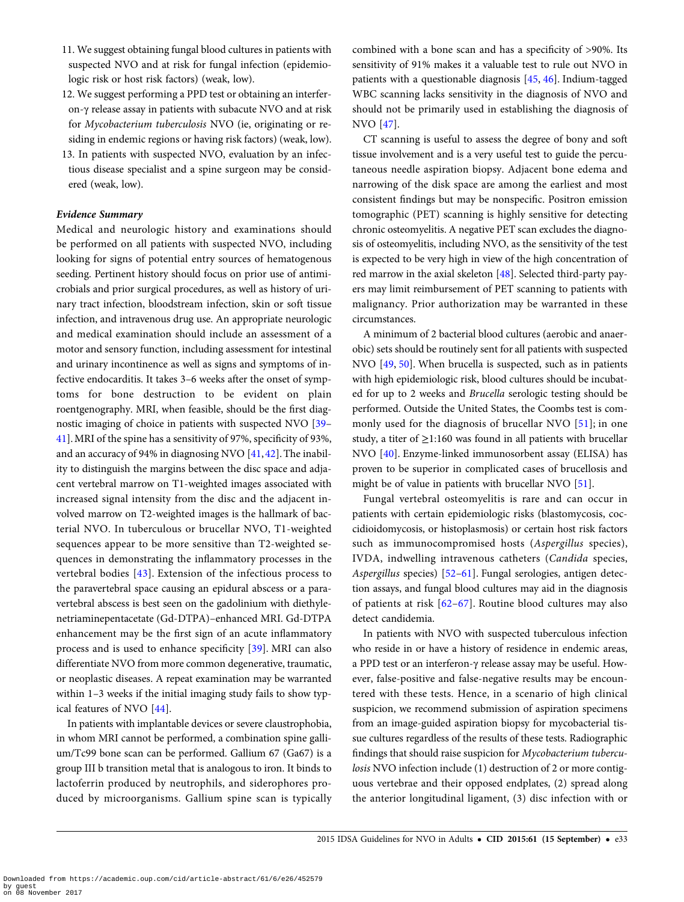- 11. We suggest obtaining fungal blood cultures in patients with suspected NVO and at risk for fungal infection (epidemiologic risk or host risk factors) (weak, low).
- 12. We suggest performing a PPD test or obtaining an interferon-γ release assay in patients with subacute NVO and at risk for Mycobacterium tuberculosis NVO (ie, originating or residing in endemic regions or having risk factors) (weak, low).
- 13. In patients with suspected NVO, evaluation by an infectious disease specialist and a spine surgeon may be considered (weak, low).

#### Evidence Summary

Medical and neurologic history and examinations should be performed on all patients with suspected NVO, including looking for signs of potential entry sources of hematogenous seeding. Pertinent history should focus on prior use of antimicrobials and prior surgical procedures, as well as history of urinary tract infection, bloodstream infection, skin or soft tissue infection, and intravenous drug use. An appropriate neurologic and medical examination should include an assessment of a motor and sensory function, including assessment for intestinal and urinary incontinence as well as signs and symptoms of infective endocarditis. It takes 3–6 weeks after the onset of symptoms for bone destruction to be evident on plain roentgenography. MRI, when feasible, should be the first diagnostic imaging of choice in patients with suspected NVO [[39](#page-18-0)– [41](#page-18-0)].MRI of the spine has a sensitivity of 97%, specificity of 93%, and an accuracy of 94% in diagnosing NVO [[41,](#page-18-0) [42](#page-18-0)]. The inability to distinguish the margins between the disc space and adjacent vertebral marrow on T1-weighted images associated with increased signal intensity from the disc and the adjacent involved marrow on T2-weighted images is the hallmark of bacterial NVO. In tuberculous or brucellar NVO, T1-weighted sequences appear to be more sensitive than T2-weighted sequences in demonstrating the inflammatory processes in the vertebral bodies [[43](#page-18-0)]. Extension of the infectious process to the paravertebral space causing an epidural abscess or a paravertebral abscess is best seen on the gadolinium with diethylenetriaminepentacetate (Gd-DTPA)–enhanced MRI. Gd-DTPA enhancement may be the first sign of an acute inflammatory process and is used to enhance specificity [\[39\]](#page-18-0). MRI can also differentiate NVO from more common degenerative, traumatic, or neoplastic diseases. A repeat examination may be warranted within 1–3 weeks if the initial imaging study fails to show typical features of NVO [\[44\]](#page-18-0).

In patients with implantable devices or severe claustrophobia, in whom MRI cannot be performed, a combination spine gallium/Tc99 bone scan can be performed. Gallium 67 (Ga67) is a group III b transition metal that is analogous to iron. It binds to lactoferrin produced by neutrophils, and siderophores produced by microorganisms. Gallium spine scan is typically combined with a bone scan and has a specificity of >90%. Its sensitivity of 91% makes it a valuable test to rule out NVO in patients with a questionable diagnosis [\[45](#page-18-0), [46\]](#page-18-0). Indium-tagged WBC scanning lacks sensitivity in the diagnosis of NVO and should not be primarily used in establishing the diagnosis of NVO [[47\]](#page-18-0).

CT scanning is useful to assess the degree of bony and soft tissue involvement and is a very useful test to guide the percutaneous needle aspiration biopsy. Adjacent bone edema and narrowing of the disk space are among the earliest and most consistent findings but may be nonspecific. Positron emission tomographic (PET) scanning is highly sensitive for detecting chronic osteomyelitis. A negative PET scan excludes the diagnosis of osteomyelitis, including NVO, as the sensitivity of the test is expected to be very high in view of the high concentration of red marrow in the axial skeleton [[48](#page-18-0)]. Selected third-party payers may limit reimbursement of PET scanning to patients with malignancy. Prior authorization may be warranted in these circumstances.

A minimum of 2 bacterial blood cultures (aerobic and anaerobic) sets should be routinely sent for all patients with suspected NVO [[49,](#page-18-0) [50](#page-18-0)]. When brucella is suspected, such as in patients with high epidemiologic risk, blood cultures should be incubated for up to 2 weeks and Brucella serologic testing should be performed. Outside the United States, the Coombs test is com-monly used for the diagnosis of brucellar NVO [[51\]](#page-18-0); in one study, a titer of  $\geq$ 1:160 was found in all patients with brucellar NVO [[40](#page-18-0)]. Enzyme-linked immunosorbent assay (ELISA) has proven to be superior in complicated cases of brucellosis and might be of value in patients with brucellar NVO [[51\]](#page-18-0).

Fungal vertebral osteomyelitis is rare and can occur in patients with certain epidemiologic risks (blastomycosis, coccidioidomycosis, or histoplasmosis) or certain host risk factors such as immunocompromised hosts (Aspergillus species), IVDA, indwelling intravenous catheters (Candida species, Aspergillus species) [[52](#page-18-0)–[61](#page-18-0)]. Fungal serologies, antigen detection assays, and fungal blood cultures may aid in the diagnosis of patients at risk [\[62](#page-18-0)–[67](#page-18-0)]. Routine blood cultures may also detect candidemia.

In patients with NVO with suspected tuberculous infection who reside in or have a history of residence in endemic areas, a PPD test or an interferon-γ release assay may be useful. However, false-positive and false-negative results may be encountered with these tests. Hence, in a scenario of high clinical suspicion, we recommend submission of aspiration specimens from an image-guided aspiration biopsy for mycobacterial tissue cultures regardless of the results of these tests. Radiographic findings that should raise suspicion for Mycobacterium tuberculosis NVO infection include (1) destruction of 2 or more contiguous vertebrae and their opposed endplates, (2) spread along the anterior longitudinal ligament, (3) disc infection with or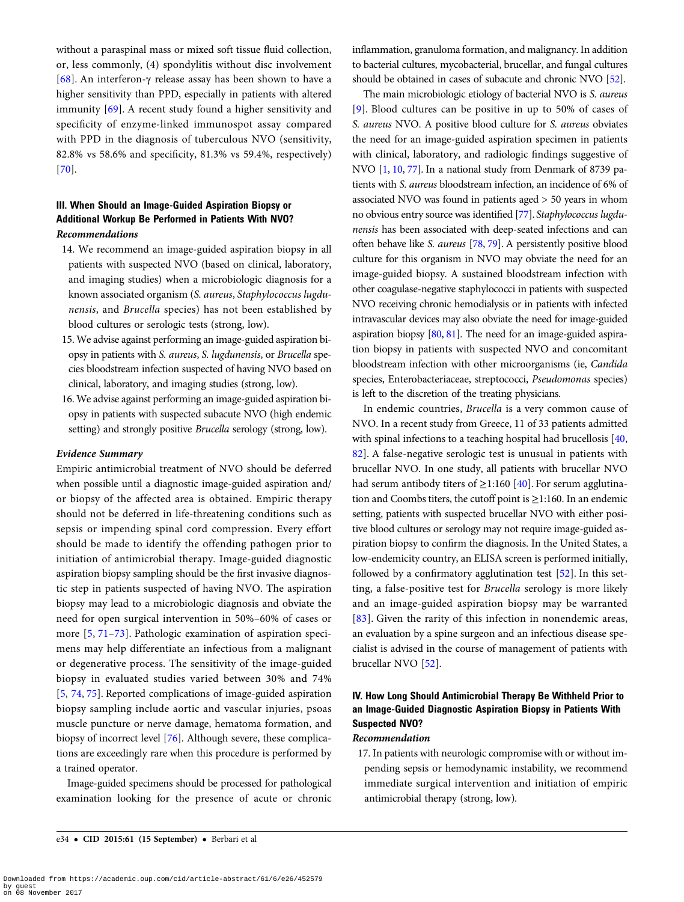without a paraspinal mass or mixed soft tissue fluid collection, or, less commonly, (4) spondylitis without disc involvement [\[68\]](#page-18-0). An interferon-γ release assay has been shown to have a higher sensitivity than PPD, especially in patients with altered immunity [[69\]](#page-18-0). A recent study found a higher sensitivity and specificity of enzyme-linked immunospot assay compared with PPD in the diagnosis of tuberculous NVO (sensitivity, 82.8% vs 58.6% and specificity, 81.3% vs 59.4%, respectively) [\[70](#page-18-0)].

### III. When Should an Image-Guided Aspiration Biopsy or Additional Workup Be Performed in Patients With NVO? Recommendations

- 14. We recommend an image-guided aspiration biopsy in all patients with suspected NVO (based on clinical, laboratory, and imaging studies) when a microbiologic diagnosis for a known associated organism (S. aureus, Staphylococcus lugdunensis, and Brucella species) has not been established by blood cultures or serologic tests (strong, low).
- 15. We advise against performing an image-guided aspiration biopsy in patients with S. aureus, S. lugdunensis, or Brucella species bloodstream infection suspected of having NVO based on clinical, laboratory, and imaging studies (strong, low).
- 16. We advise against performing an image-guided aspiration biopsy in patients with suspected subacute NVO (high endemic setting) and strongly positive Brucella serology (strong, low).

#### Evidence Summary

Empiric antimicrobial treatment of NVO should be deferred when possible until a diagnostic image-guided aspiration and/ or biopsy of the affected area is obtained. Empiric therapy should not be deferred in life-threatening conditions such as sepsis or impending spinal cord compression. Every effort should be made to identify the offending pathogen prior to initiation of antimicrobial therapy. Image-guided diagnostic aspiration biopsy sampling should be the first invasive diagnostic step in patients suspected of having NVO. The aspiration biopsy may lead to a microbiologic diagnosis and obviate the need for open surgical intervention in 50%–60% of cases or more [[5](#page-17-0), [71](#page-18-0)–[73\]](#page-18-0). Pathologic examination of aspiration specimens may help differentiate an infectious from a malignant or degenerative process. The sensitivity of the image-guided biopsy in evaluated studies varied between 30% and 74% [\[5,](#page-17-0) [74,](#page-18-0) [75](#page-18-0)]. Reported complications of image-guided aspiration biopsy sampling include aortic and vascular injuries, psoas muscle puncture or nerve damage, hematoma formation, and biopsy of incorrect level [\[76](#page-18-0)]. Although severe, these complications are exceedingly rare when this procedure is performed by a trained operator.

Image-guided specimens should be processed for pathological examination looking for the presence of acute or chronic

e34 • CID 2015:61 (15 September) • Berbari et al

inflammation, granuloma formation, and malignancy. In addition to bacterial cultures, mycobacterial, brucellar, and fungal cultures should be obtained in cases of subacute and chronic NVO [\[52](#page-18-0)].

The main microbiologic etiology of bacterial NVO is S. aureus [\[9\]](#page-17-0). Blood cultures can be positive in up to 50% of cases of S. aureus NVO. A positive blood culture for S. aureus obviates the need for an image-guided aspiration specimen in patients with clinical, laboratory, and radiologic findings suggestive of NVO [\[1,](#page-17-0) [10,](#page-17-0) [77](#page-18-0)]. In a national study from Denmark of 8739 patients with S. aureus bloodstream infection, an incidence of 6% of associated NVO was found in patients aged > 50 years in whom no obvious entry source was identified [\[77](#page-18-0)]. Staphylococcus lugdunensis has been associated with deep-seated infections and can often behave like S. aureus [\[78](#page-19-0), [79](#page-19-0)]. A persistently positive blood culture for this organism in NVO may obviate the need for an image-guided biopsy. A sustained bloodstream infection with other coagulase-negative staphylococci in patients with suspected NVO receiving chronic hemodialysis or in patients with infected intravascular devices may also obviate the need for image-guided aspiration biopsy [[80](#page-19-0), [81](#page-19-0)]. The need for an image-guided aspiration biopsy in patients with suspected NVO and concomitant bloodstream infection with other microorganisms (ie, Candida species, Enterobacteriaceae, streptococci, Pseudomonas species) is left to the discretion of the treating physicians.

In endemic countries, Brucella is a very common cause of NVO. In a recent study from Greece, 11 of 33 patients admitted with spinal infections to a teaching hospital had brucellosis [[40,](#page-18-0) [82](#page-19-0)]. A false-negative serologic test is unusual in patients with brucellar NVO. In one study, all patients with brucellar NVO had serum antibody titers of  $\geq$ 1:160 [[40](#page-18-0)]. For serum agglutination and Coombs titers, the cutoff point is ≥1:160. In an endemic setting, patients with suspected brucellar NVO with either positive blood cultures or serology may not require image-guided aspiration biopsy to confirm the diagnosis. In the United States, a low-endemicity country, an ELISA screen is performed initially, followed by a confirmatory agglutination test [[52](#page-18-0)]. In this setting, a false-positive test for Brucella serology is more likely and an image-guided aspiration biopsy may be warranted [\[83\]](#page-19-0). Given the rarity of this infection in nonendemic areas, an evaluation by a spine surgeon and an infectious disease specialist is advised in the course of management of patients with brucellar NVO [[52](#page-18-0)].

# IV. How Long Should Antimicrobial Therapy Be Withheld Prior to an Image-Guided Diagnostic Aspiration Biopsy in Patients With Suspected NVO?

#### Recommendation

17. In patients with neurologic compromise with or without impending sepsis or hemodynamic instability, we recommend immediate surgical intervention and initiation of empiric antimicrobial therapy (strong, low).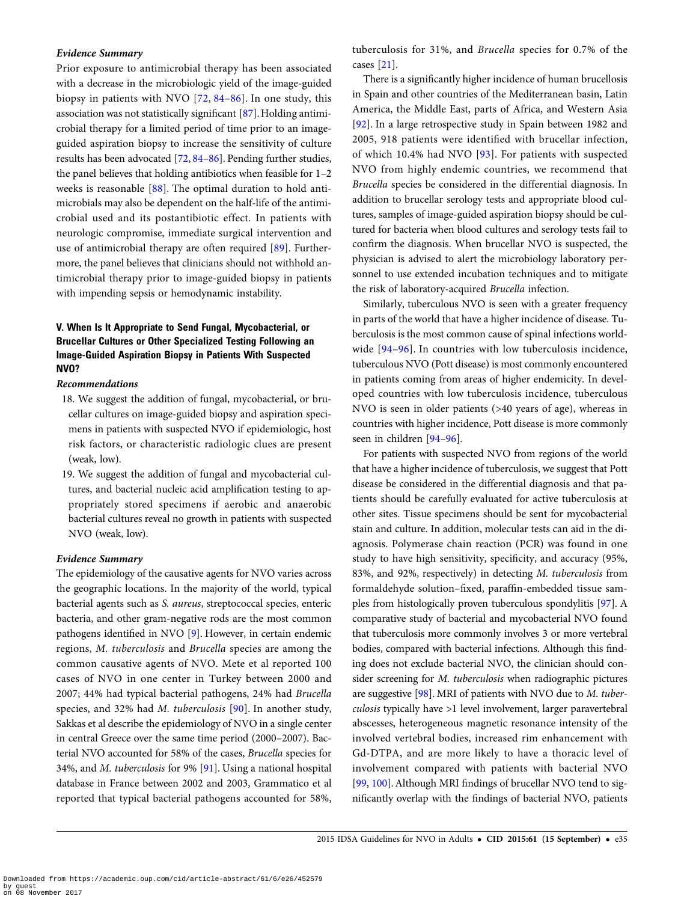#### Evidence Summary

Prior exposure to antimicrobial therapy has been associated with a decrease in the microbiologic yield of the image-guided biopsy in patients with NVO [\[72,](#page-18-0) [84](#page-19-0)–[86\]](#page-19-0). In one study, this association was not statistically significant [[87\]](#page-19-0).Holding antimicrobial therapy for a limited period of time prior to an imageguided aspiration biopsy to increase the sensitivity of culture results has been advocated [\[72,](#page-18-0) [84](#page-19-0)–[86](#page-19-0)]. Pending further studies, the panel believes that holding antibiotics when feasible for 1–2 weeks is reasonable [[88](#page-19-0)]. The optimal duration to hold antimicrobials may also be dependent on the half-life of the antimicrobial used and its postantibiotic effect. In patients with neurologic compromise, immediate surgical intervention and use of antimicrobial therapy are often required [[89](#page-19-0)]. Furthermore, the panel believes that clinicians should not withhold antimicrobial therapy prior to image-guided biopsy in patients with impending sepsis or hemodynamic instability.

# V. When Is It Appropriate to Send Fungal, Mycobacterial, or Brucellar Cultures or Other Specialized Testing Following an Image-Guided Aspiration Biopsy in Patients With Suspected NVO?

#### Recommendations

- 18. We suggest the addition of fungal, mycobacterial, or brucellar cultures on image-guided biopsy and aspiration specimens in patients with suspected NVO if epidemiologic, host risk factors, or characteristic radiologic clues are present (weak, low).
- 19. We suggest the addition of fungal and mycobacterial cultures, and bacterial nucleic acid amplification testing to appropriately stored specimens if aerobic and anaerobic bacterial cultures reveal no growth in patients with suspected NVO (weak, low).

#### Evidence Summary

The epidemiology of the causative agents for NVO varies across the geographic locations. In the majority of the world, typical bacterial agents such as S. aureus, streptococcal species, enteric bacteria, and other gram-negative rods are the most common pathogens identified in NVO [[9\]](#page-17-0). However, in certain endemic regions, M. tuberculosis and Brucella species are among the common causative agents of NVO. Mete et al reported 100 cases of NVO in one center in Turkey between 2000 and 2007; 44% had typical bacterial pathogens, 24% had Brucella species, and 32% had *M. tuberculosis* [\[90\]](#page-19-0). In another study, Sakkas et al describe the epidemiology of NVO in a single center in central Greece over the same time period (2000–2007). Bacterial NVO accounted for 58% of the cases, Brucella species for 34%, and M. tuberculosis for 9% [[91\]](#page-19-0). Using a national hospital database in France between 2002 and 2003, Grammatico et al reported that typical bacterial pathogens accounted for 58%, tuberculosis for 31%, and Brucella species for 0.7% of the cases [\[21](#page-17-0)].

There is a significantly higher incidence of human brucellosis in Spain and other countries of the Mediterranean basin, Latin America, the Middle East, parts of Africa, and Western Asia [\[92](#page-19-0)]. In a large retrospective study in Spain between 1982 and 2005, 918 patients were identified with brucellar infection, of which 10.4% had NVO [[93](#page-19-0)]. For patients with suspected NVO from highly endemic countries, we recommend that Brucella species be considered in the differential diagnosis. In addition to brucellar serology tests and appropriate blood cultures, samples of image-guided aspiration biopsy should be cultured for bacteria when blood cultures and serology tests fail to confirm the diagnosis. When brucellar NVO is suspected, the physician is advised to alert the microbiology laboratory personnel to use extended incubation techniques and to mitigate the risk of laboratory-acquired Brucella infection.

Similarly, tuberculous NVO is seen with a greater frequency in parts of the world that have a higher incidence of disease. Tuberculosis is the most common cause of spinal infections world-wide [\[94](#page-19-0)–[96](#page-19-0)]. In countries with low tuberculosis incidence, tuberculous NVO (Pott disease) is most commonly encountered in patients coming from areas of higher endemicity. In developed countries with low tuberculosis incidence, tuberculous NVO is seen in older patients (>40 years of age), whereas in countries with higher incidence, Pott disease is more commonly seen in children [\[94](#page-19-0)–[96](#page-19-0)].

For patients with suspected NVO from regions of the world that have a higher incidence of tuberculosis, we suggest that Pott disease be considered in the differential diagnosis and that patients should be carefully evaluated for active tuberculosis at other sites. Tissue specimens should be sent for mycobacterial stain and culture. In addition, molecular tests can aid in the diagnosis. Polymerase chain reaction (PCR) was found in one study to have high sensitivity, specificity, and accuracy (95%, 83%, and 92%, respectively) in detecting M. tuberculosis from formaldehyde solution–fixed, paraffin-embedded tissue samples from histologically proven tuberculous spondylitis [[97\]](#page-19-0). A comparative study of bacterial and mycobacterial NVO found that tuberculosis more commonly involves 3 or more vertebral bodies, compared with bacterial infections. Although this finding does not exclude bacterial NVO, the clinician should consider screening for M. tuberculosis when radiographic pictures are suggestive [\[98](#page-19-0)]. MRI of patients with NVO due to M. tuberculosis typically have >1 level involvement, larger paravertebral abscesses, heterogeneous magnetic resonance intensity of the involved vertebral bodies, increased rim enhancement with Gd-DTPA, and are more likely to have a thoracic level of involvement compared with patients with bacterial NVO [\[99](#page-19-0), [100](#page-19-0)]. Although MRI findings of brucellar NVO tend to significantly overlap with the findings of bacterial NVO, patients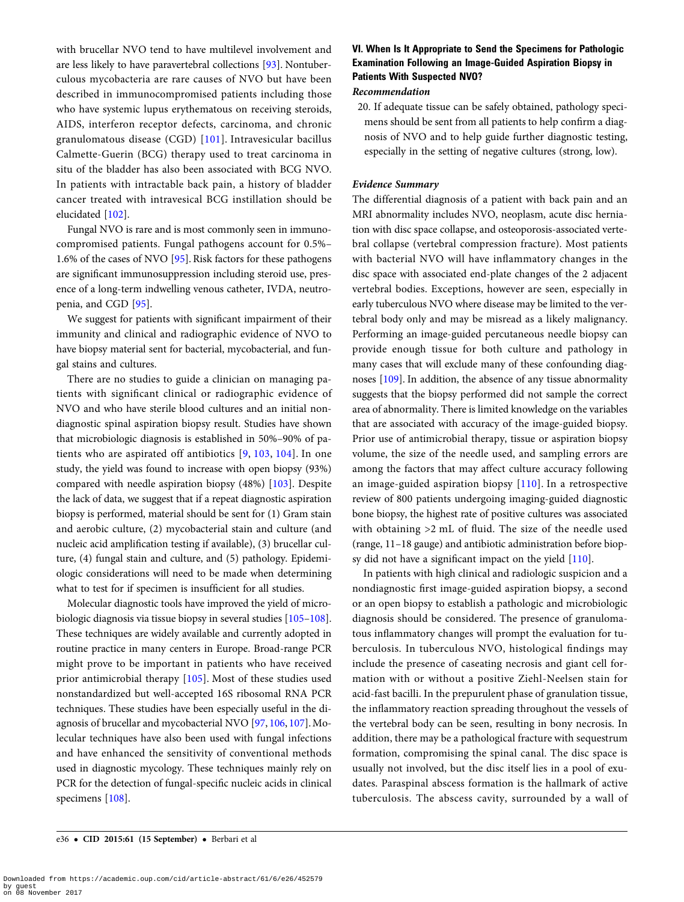with brucellar NVO tend to have multilevel involvement and are less likely to have paravertebral collections [\[93](#page-19-0)]. Nontuberculous mycobacteria are rare causes of NVO but have been described in immunocompromised patients including those who have systemic lupus erythematous on receiving steroids, AIDS, interferon receptor defects, carcinoma, and chronic granulomatous disease (CGD) [[101\]](#page-19-0). Intravesicular bacillus Calmette-Guerin (BCG) therapy used to treat carcinoma in situ of the bladder has also been associated with BCG NVO. In patients with intractable back pain, a history of bladder cancer treated with intravesical BCG instillation should be elucidated [\[102](#page-19-0)].

Fungal NVO is rare and is most commonly seen in immunocompromised patients. Fungal pathogens account for 0.5%– 1.6% of the cases of NVO [[95\]](#page-19-0). Risk factors for these pathogens are significant immunosuppression including steroid use, presence of a long-term indwelling venous catheter, IVDA, neutropenia, and CGD [[95\]](#page-19-0).

We suggest for patients with significant impairment of their immunity and clinical and radiographic evidence of NVO to have biopsy material sent for bacterial, mycobacterial, and fungal stains and cultures.

There are no studies to guide a clinician on managing patients with significant clinical or radiographic evidence of NVO and who have sterile blood cultures and an initial nondiagnostic spinal aspiration biopsy result. Studies have shown that microbiologic diagnosis is established in 50%–90% of patients who are aspirated off antibiotics [[9](#page-17-0), [103,](#page-19-0) [104\]](#page-19-0). In one study, the yield was found to increase with open biopsy (93%) compared with needle aspiration biopsy (48%) [[103](#page-19-0)]. Despite the lack of data, we suggest that if a repeat diagnostic aspiration biopsy is performed, material should be sent for (1) Gram stain and aerobic culture, (2) mycobacterial stain and culture (and nucleic acid amplification testing if available), (3) brucellar culture, (4) fungal stain and culture, and (5) pathology. Epidemiologic considerations will need to be made when determining what to test for if specimen is insufficient for all studies.

Molecular diagnostic tools have improved the yield of microbiologic diagnosis via tissue biopsy in several studies [\[105](#page-19-0)–[108\]](#page-19-0). These techniques are widely available and currently adopted in routine practice in many centers in Europe. Broad-range PCR might prove to be important in patients who have received prior antimicrobial therapy [\[105](#page-19-0)]. Most of these studies used nonstandardized but well-accepted 16S ribosomal RNA PCR techniques. These studies have been especially useful in the diagnosis of brucellar and mycobacterial NVO [\[97](#page-19-0), [106,](#page-19-0) [107\]](#page-19-0). Molecular techniques have also been used with fungal infections and have enhanced the sensitivity of conventional methods used in diagnostic mycology. These techniques mainly rely on PCR for the detection of fungal-specific nucleic acids in clinical specimens [\[108\]](#page-19-0).

# VI. When Is It Appropriate to Send the Specimens for Pathologic Examination Following an Image-Guided Aspiration Biopsy in Patients With Suspected NVO?

### Recommendation

20. If adequate tissue can be safely obtained, pathology specimens should be sent from all patients to help confirm a diagnosis of NVO and to help guide further diagnostic testing, especially in the setting of negative cultures (strong, low).

#### Evidence Summary

The differential diagnosis of a patient with back pain and an MRI abnormality includes NVO, neoplasm, acute disc herniation with disc space collapse, and osteoporosis-associated vertebral collapse (vertebral compression fracture). Most patients with bacterial NVO will have inflammatory changes in the disc space with associated end-plate changes of the 2 adjacent vertebral bodies. Exceptions, however are seen, especially in early tuberculous NVO where disease may be limited to the vertebral body only and may be misread as a likely malignancy. Performing an image-guided percutaneous needle biopsy can provide enough tissue for both culture and pathology in many cases that will exclude many of these confounding diagnoses [[109](#page-19-0)]. In addition, the absence of any tissue abnormality suggests that the biopsy performed did not sample the correct area of abnormality. There is limited knowledge on the variables that are associated with accuracy of the image-guided biopsy. Prior use of antimicrobial therapy, tissue or aspiration biopsy volume, the size of the needle used, and sampling errors are among the factors that may affect culture accuracy following an image-guided aspiration biopsy [[110](#page-19-0)]. In a retrospective review of 800 patients undergoing imaging-guided diagnostic bone biopsy, the highest rate of positive cultures was associated with obtaining >2 mL of fluid. The size of the needle used (range, 11–18 gauge) and antibiotic administration before biopsy did not have a significant impact on the yield [[110](#page-19-0)].

In patients with high clinical and radiologic suspicion and a nondiagnostic first image-guided aspiration biopsy, a second or an open biopsy to establish a pathologic and microbiologic diagnosis should be considered. The presence of granulomatous inflammatory changes will prompt the evaluation for tuberculosis. In tuberculous NVO, histological findings may include the presence of caseating necrosis and giant cell formation with or without a positive Ziehl-Neelsen stain for acid-fast bacilli. In the prepurulent phase of granulation tissue, the inflammatory reaction spreading throughout the vessels of the vertebral body can be seen, resulting in bony necrosis. In addition, there may be a pathological fracture with sequestrum formation, compromising the spinal canal. The disc space is usually not involved, but the disc itself lies in a pool of exudates. Paraspinal abscess formation is the hallmark of active tuberculosis. The abscess cavity, surrounded by a wall of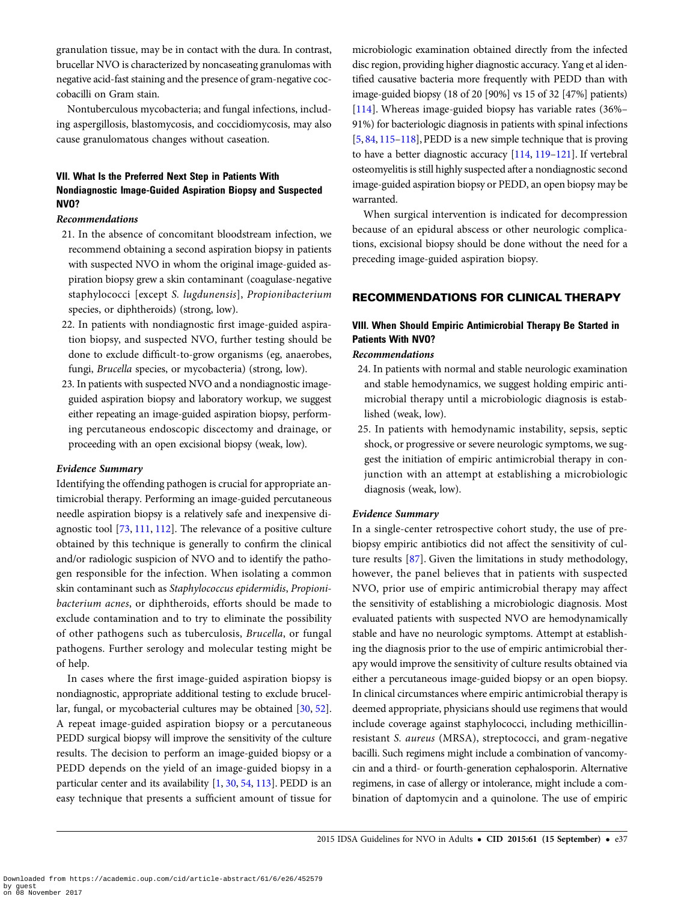granulation tissue, may be in contact with the dura. In contrast, brucellar NVO is characterized by noncaseating granulomas with negative acid-fast staining and the presence of gram-negative coccobacilli on Gram stain.

Nontuberculous mycobacteria; and fungal infections, including aspergillosis, blastomycosis, and coccidiomycosis, may also cause granulomatous changes without caseation.

# VII. What Is the Preferred Next Step in Patients With Nondiagnostic Image-Guided Aspiration Biopsy and Suspected NVO?

### Recommendations

- 21. In the absence of concomitant bloodstream infection, we recommend obtaining a second aspiration biopsy in patients with suspected NVO in whom the original image-guided aspiration biopsy grew a skin contaminant (coagulase-negative staphylococci [except S. lugdunensis], Propionibacterium species, or diphtheroids) (strong, low).
- 22. In patients with nondiagnostic first image-guided aspiration biopsy, and suspected NVO, further testing should be done to exclude difficult-to-grow organisms (eg, anaerobes, fungi, Brucella species, or mycobacteria) (strong, low).
- 23. In patients with suspected NVO and a nondiagnostic imageguided aspiration biopsy and laboratory workup, we suggest either repeating an image-guided aspiration biopsy, performing percutaneous endoscopic discectomy and drainage, or proceeding with an open excisional biopsy (weak, low).

### Evidence Summary

Identifying the offending pathogen is crucial for appropriate antimicrobial therapy. Performing an image-guided percutaneous needle aspiration biopsy is a relatively safe and inexpensive diagnostic tool [[73,](#page-18-0) [111,](#page-19-0) [112](#page-19-0)]. The relevance of a positive culture obtained by this technique is generally to confirm the clinical and/or radiologic suspicion of NVO and to identify the pathogen responsible for the infection. When isolating a common skin contaminant such as Staphylococcus epidermidis, Propionibacterium acnes, or diphtheroids, efforts should be made to exclude contamination and to try to eliminate the possibility of other pathogens such as tuberculosis, Brucella, or fungal pathogens. Further serology and molecular testing might be of help.

In cases where the first image-guided aspiration biopsy is nondiagnostic, appropriate additional testing to exclude brucellar, fungal, or mycobacterial cultures may be obtained [\[30](#page-17-0), [52\]](#page-18-0). A repeat image-guided aspiration biopsy or a percutaneous PEDD surgical biopsy will improve the sensitivity of the culture results. The decision to perform an image-guided biopsy or a PEDD depends on the yield of an image-guided biopsy in a particular center and its availability [\[1,](#page-17-0) [30,](#page-17-0) [54,](#page-18-0) [113\]](#page-19-0). PEDD is an easy technique that presents a sufficient amount of tissue for

microbiologic examination obtained directly from the infected disc region, providing higher diagnostic accuracy. Yang et al identified causative bacteria more frequently with PEDD than with image-guided biopsy (18 of 20 [90%] vs 15 of 32 [47%] patients) [\[114\]](#page-19-0). Whereas image-guided biopsy has variable rates (36%– 91%) for bacteriologic diagnosis in patients with spinal infections [\[5,](#page-17-0) [84](#page-19-0), [115](#page-19-0)–[118](#page-19-0)], PEDD is a new simple technique that is proving to have a better diagnostic accuracy [[114](#page-19-0), [119](#page-19-0)–[121](#page-19-0)]. If vertebral osteomyelitis is still highly suspected after a nondiagnostic second image-guided aspiration biopsy or PEDD, an open biopsy may be warranted.

When surgical intervention is indicated for decompression because of an epidural abscess or other neurologic complications, excisional biopsy should be done without the need for a preceding image-guided aspiration biopsy.

# RECOMMENDATIONS FOR CLINICAL THERAPY

# VIII. When Should Empiric Antimicrobial Therapy Be Started in Patients With NVO?

### Recommendations

- 24. In patients with normal and stable neurologic examination and stable hemodynamics, we suggest holding empiric antimicrobial therapy until a microbiologic diagnosis is established (weak, low).
- 25. In patients with hemodynamic instability, sepsis, septic shock, or progressive or severe neurologic symptoms, we suggest the initiation of empiric antimicrobial therapy in conjunction with an attempt at establishing a microbiologic diagnosis (weak, low).

### Evidence Summary

In a single-center retrospective cohort study, the use of prebiopsy empiric antibiotics did not affect the sensitivity of culture results [\[87\]](#page-19-0). Given the limitations in study methodology, however, the panel believes that in patients with suspected NVO, prior use of empiric antimicrobial therapy may affect the sensitivity of establishing a microbiologic diagnosis. Most evaluated patients with suspected NVO are hemodynamically stable and have no neurologic symptoms. Attempt at establishing the diagnosis prior to the use of empiric antimicrobial therapy would improve the sensitivity of culture results obtained via either a percutaneous image-guided biopsy or an open biopsy. In clinical circumstances where empiric antimicrobial therapy is deemed appropriate, physicians should use regimens that would include coverage against staphylococci, including methicillinresistant S. aureus (MRSA), streptococci, and gram-negative bacilli. Such regimens might include a combination of vancomycin and a third- or fourth-generation cephalosporin. Alternative regimens, in case of allergy or intolerance, might include a combination of daptomycin and a quinolone. The use of empiric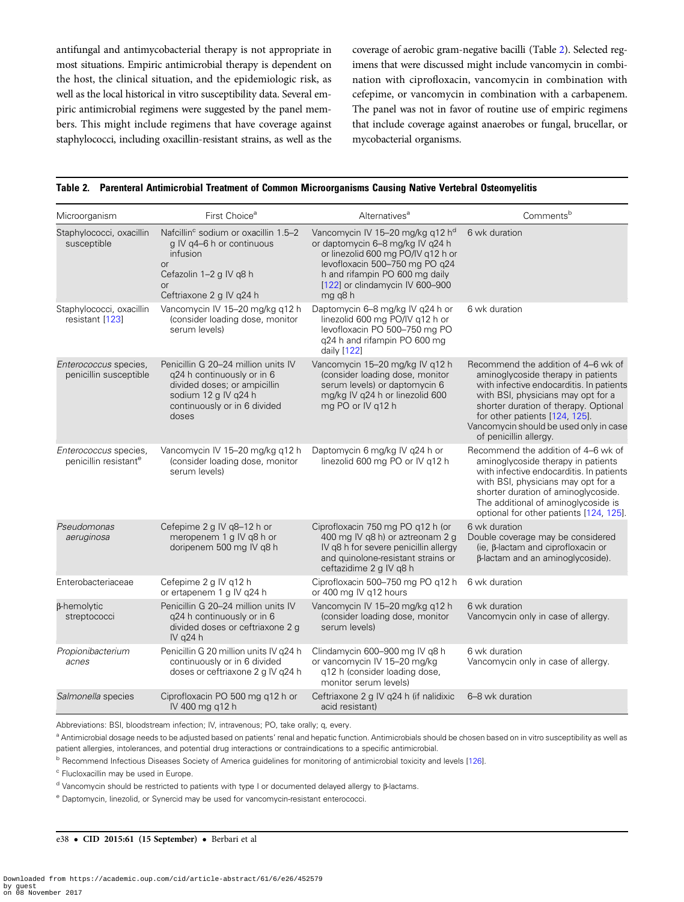<span id="page-12-0"></span>antifungal and antimycobacterial therapy is not appropriate in most situations. Empiric antimicrobial therapy is dependent on the host, the clinical situation, and the epidemiologic risk, as well as the local historical in vitro susceptibility data. Several empiric antimicrobial regimens were suggested by the panel members. This might include regimens that have coverage against staphylococci, including oxacillin-resistant strains, as well as the coverage of aerobic gram-negative bacilli (Table 2). Selected regimens that were discussed might include vancomycin in combination with ciprofloxacin, vancomycin in combination with cefepime, or vancomycin in combination with a carbapenem. The panel was not in favor of routine use of empiric regimens that include coverage against anaerobes or fungal, brucellar, or mycobacterial organisms.

#### Table 2. Parenteral Antimicrobial Treatment of Common Microorganisms Causing Native Vertebral Osteomyelitis

| Microorganism                                              | First Choice <sup>a</sup>                                                                                                                                           | Alternatives <sup>a</sup>                                                                                                                                                                                                                | Comments <sup>b</sup>                                                                                                                                                                                                                                                                                      |
|------------------------------------------------------------|---------------------------------------------------------------------------------------------------------------------------------------------------------------------|------------------------------------------------------------------------------------------------------------------------------------------------------------------------------------------------------------------------------------------|------------------------------------------------------------------------------------------------------------------------------------------------------------------------------------------------------------------------------------------------------------------------------------------------------------|
| Staphylococci, oxacillin<br>susceptible                    | Nafcillin <sup>c</sup> sodium or oxacillin 1.5-2<br>g IV q4-6 h or continuous<br>infusion<br>or<br>Cefazolin 1-2 g IV q8 h<br><b>or</b><br>Ceftriaxone 2 g IV q24 h | Vancomycin IV 15-20 mg/kg q12 h <sup>d</sup><br>or daptomycin 6-8 mg/kg IV q24 h<br>or linezolid 600 mg PO/IV q12 h or<br>levofloxacin 500-750 mg PO q24<br>h and rifampin PO 600 mg daily<br>[122] or clindamycin IV 600-900<br>mg q8 h | 6 wk duration                                                                                                                                                                                                                                                                                              |
| Staphylococci, oxacillin<br>resistant [123]                | Vancomycin IV 15-20 mg/kg q12 h<br>(consider loading dose, monitor<br>serum levels)                                                                                 | Daptomycin 6-8 mg/kg IV q24 h or<br>linezolid 600 mg PO/IV q12 h or<br>levofloxacin PO 500-750 mg PO<br>q24 h and rifampin PO 600 mg<br>daily [122]                                                                                      | 6 wk duration                                                                                                                                                                                                                                                                                              |
| Enterococcus species,<br>penicillin susceptible            | Penicillin G 20-24 million units IV<br>g24 h continuously or in 6<br>divided doses; or ampicillin<br>sodium 12 g IV q24 h<br>continuously or in 6 divided<br>doses  | Vancomycin 15-20 mg/kg IV q12 h<br>(consider loading dose, monitor<br>serum levels) or daptomycin 6<br>mg/kg IV q24 h or linezolid 600<br>mg PO or IV q12 h                                                                              | Recommend the addition of 4–6 wk of<br>aminoglycoside therapy in patients<br>with infective endocarditis. In patients<br>with BSI, physicians may opt for a<br>shorter duration of therapy. Optional<br>for other patients [124, 125].<br>Vancomycin should be used only in case<br>of penicillin allergy. |
| Enterococcus species,<br>penicillin resistant <sup>e</sup> | Vancomycin IV 15-20 mg/kg q12 h<br>(consider loading dose, monitor<br>serum levels)                                                                                 | Daptomycin 6 mg/kg IV q24 h or<br>linezolid 600 mg PO or IV g12 h                                                                                                                                                                        | Recommend the addition of 4-6 wk of<br>aminoglycoside therapy in patients<br>with infective endocarditis. In patients<br>with BSI, physicians may opt for a<br>shorter duration of aminoglycoside.<br>The additional of aminoglycoside is<br>optional for other patients [124, 125].                       |
| Pseudomonas<br>aeruginosa                                  | Cefepime 2 g IV q8-12 h or<br>meropenem 1 g IV q8 h or<br>doripenem 500 mg IV g8 h                                                                                  | Ciprofloxacin 750 mg PO q12 h (or<br>400 mg IV q8 h) or aztreonam 2 g<br>IV g8 h for severe penicillin allergy<br>and quinolone-resistant strains or<br>ceftazidime 2 g IV q8 h                                                          | 6 wk duration<br>Double coverage may be considered<br>(ie, B-lactam and ciprofloxacin or<br><b>ß-lactam and an aminoglycoside).</b>                                                                                                                                                                        |
| Enterobacteriaceae                                         | Cefepime 2 g IV q12 h<br>or ertapenem 1 g IV q24 h                                                                                                                  | Ciprofloxacin 500-750 mg PO q12 h<br>or 400 mg IV q12 hours                                                                                                                                                                              | 6 wk duration                                                                                                                                                                                                                                                                                              |
| β-hemolytic<br>streptococci                                | Penicillin G 20-24 million units IV<br>q24 h continuously or in 6<br>divided doses or ceftriaxone 2 q<br>IV q24 h                                                   | Vancomycin IV 15-20 mg/kg q12 h<br>(consider loading dose, monitor<br>serum levels)                                                                                                                                                      | 6 wk duration<br>Vancomycin only in case of allergy.                                                                                                                                                                                                                                                       |
| Propionibacterium<br>acnes                                 | Penicillin G 20 million units IV q24 h<br>continuously or in 6 divided<br>doses or ceftriaxone 2 g IV q24 h                                                         | Clindamycin 600-900 mg IV q8 h<br>or vancomycin IV 15-20 mg/kg<br>q12 h (consider loading dose,<br>monitor serum levels)                                                                                                                 | 6 wk duration<br>Vancomycin only in case of allergy.                                                                                                                                                                                                                                                       |
| Salmonella species                                         | Ciprofloxacin PO 500 mg q12 h or<br>IV 400 mg q12 h                                                                                                                 | Ceftriaxone 2 g IV q24 h (if nalidixic<br>acid resistant)                                                                                                                                                                                | 6-8 wk duration                                                                                                                                                                                                                                                                                            |

Abbreviations: BSI, bloodstream infection; IV, intravenous; PO, take orally; q, every.

a Antimicrobial dosage needs to be adjusted based on patients' renal and hepatic function. Antimicrobials should be chosen based on in vitro susceptibility as well as patient allergies, intolerances, and potential drug interactions or contraindications to a specific antimicrobial.

<sup>b</sup> Recommend Infectious Diseases Society of America guidelines for monitoring of antimicrobial toxicity and levels [[126](#page-20-0)].

<sup>c</sup> Flucloxacillin may be used in Europe.

<sup>d</sup> Vancomycin should be restricted to patients with type I or documented delayed allergy to β-lactams.

<sup>e</sup> Daptomycin, linezolid, or Synercid may be used for vancomycin-resistant enterococci.

e38 • CID 2015:61 (15 September) • Berbari et al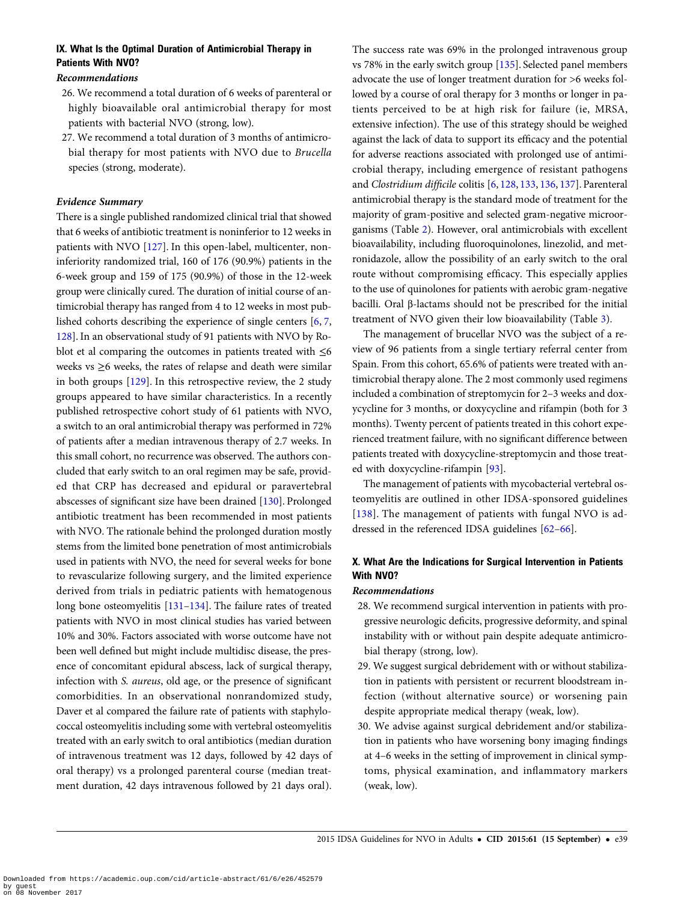# IX. What Is the Optimal Duration of Antimicrobial Therapy in Patients With NVO?

### Recommendations

- 26. We recommend a total duration of 6 weeks of parenteral or highly bioavailable oral antimicrobial therapy for most patients with bacterial NVO (strong, low).
- 27. We recommend a total duration of 3 months of antimicrobial therapy for most patients with NVO due to Brucella species (strong, moderate).

# Evidence Summary

There is a single published randomized clinical trial that showed that 6 weeks of antibiotic treatment is noninferior to 12 weeks in patients with NVO [[127](#page-20-0)]. In this open-label, multicenter, noninferiority randomized trial, 160 of 176 (90.9%) patients in the 6-week group and 159 of 175 (90.9%) of those in the 12-week group were clinically cured. The duration of initial course of antimicrobial therapy has ranged from 4 to 12 weeks in most published cohorts describing the experience of single centers [[6](#page-17-0), [7,](#page-17-0) [128\]](#page-20-0). In an observational study of 91 patients with NVO by Roblot et al comparing the outcomes in patients treated with  $\leq 6$ weeks vs ≥6 weeks, the rates of relapse and death were similar in both groups [[129\]](#page-20-0). In this retrospective review, the 2 study groups appeared to have similar characteristics. In a recently published retrospective cohort study of 61 patients with NVO, a switch to an oral antimicrobial therapy was performed in 72% of patients after a median intravenous therapy of 2.7 weeks. In this small cohort, no recurrence was observed. The authors concluded that early switch to an oral regimen may be safe, provided that CRP has decreased and epidural or paravertebral abscesses of significant size have been drained [\[130\]](#page-20-0). Prolonged antibiotic treatment has been recommended in most patients with NVO. The rationale behind the prolonged duration mostly stems from the limited bone penetration of most antimicrobials used in patients with NVO, the need for several weeks for bone to revascularize following surgery, and the limited experience derived from trials in pediatric patients with hematogenous long bone osteomyelitis [[131](#page-20-0)–[134](#page-20-0)]. The failure rates of treated patients with NVO in most clinical studies has varied between 10% and 30%. Factors associated with worse outcome have not been well defined but might include multidisc disease, the presence of concomitant epidural abscess, lack of surgical therapy, infection with S. aureus, old age, or the presence of significant comorbidities. In an observational nonrandomized study, Daver et al compared the failure rate of patients with staphylococcal osteomyelitis including some with vertebral osteomyelitis treated with an early switch to oral antibiotics (median duration of intravenous treatment was 12 days, followed by 42 days of oral therapy) vs a prolonged parenteral course (median treatment duration, 42 days intravenous followed by 21 days oral).

The success rate was 69% in the prolonged intravenous group vs 78% in the early switch group [[135](#page-20-0)]. Selected panel members advocate the use of longer treatment duration for >6 weeks followed by a course of oral therapy for 3 months or longer in patients perceived to be at high risk for failure (ie, MRSA, extensive infection). The use of this strategy should be weighed against the lack of data to support its efficacy and the potential for adverse reactions associated with prolonged use of antimicrobial therapy, including emergence of resistant pathogens and Clostridium difficile colitis [\[6,](#page-17-0) [128](#page-20-0), [133](#page-20-0), [136,](#page-20-0) [137\]](#page-20-0). Parenteral antimicrobial therapy is the standard mode of treatment for the majority of gram-positive and selected gram-negative microorganisms (Table [2](#page-12-0)). However, oral antimicrobials with excellent bioavailability, including fluoroquinolones, linezolid, and metronidazole, allow the possibility of an early switch to the oral route without compromising efficacy. This especially applies to the use of quinolones for patients with aerobic gram-negative bacilli. Oral β-lactams should not be prescribed for the initial treatment of NVO given their low bioavailability (Table [3](#page-14-0)).

The management of brucellar NVO was the subject of a review of 96 patients from a single tertiary referral center from Spain. From this cohort, 65.6% of patients were treated with antimicrobial therapy alone. The 2 most commonly used regimens included a combination of streptomycin for 2–3 weeks and doxycycline for 3 months, or doxycycline and rifampin (both for 3 months). Twenty percent of patients treated in this cohort experienced treatment failure, with no significant difference between patients treated with doxycycline-streptomycin and those treated with doxycycline-rifampin [[93\]](#page-19-0).

The management of patients with mycobacterial vertebral osteomyelitis are outlined in other IDSA-sponsored guidelines [\[138\]](#page-20-0). The management of patients with fungal NVO is addressed in the referenced IDSA guidelines [\[62](#page-18-0)–[66](#page-18-0)].

# X. What Are the Indications for Surgical Intervention in Patients With NVO?

- 28. We recommend surgical intervention in patients with progressive neurologic deficits, progressive deformity, and spinal instability with or without pain despite adequate antimicrobial therapy (strong, low).
- 29. We suggest surgical debridement with or without stabilization in patients with persistent or recurrent bloodstream infection (without alternative source) or worsening pain despite appropriate medical therapy (weak, low).
- 30. We advise against surgical debridement and/or stabilization in patients who have worsening bony imaging findings at 4–6 weeks in the setting of improvement in clinical symptoms, physical examination, and inflammatory markers (weak, low).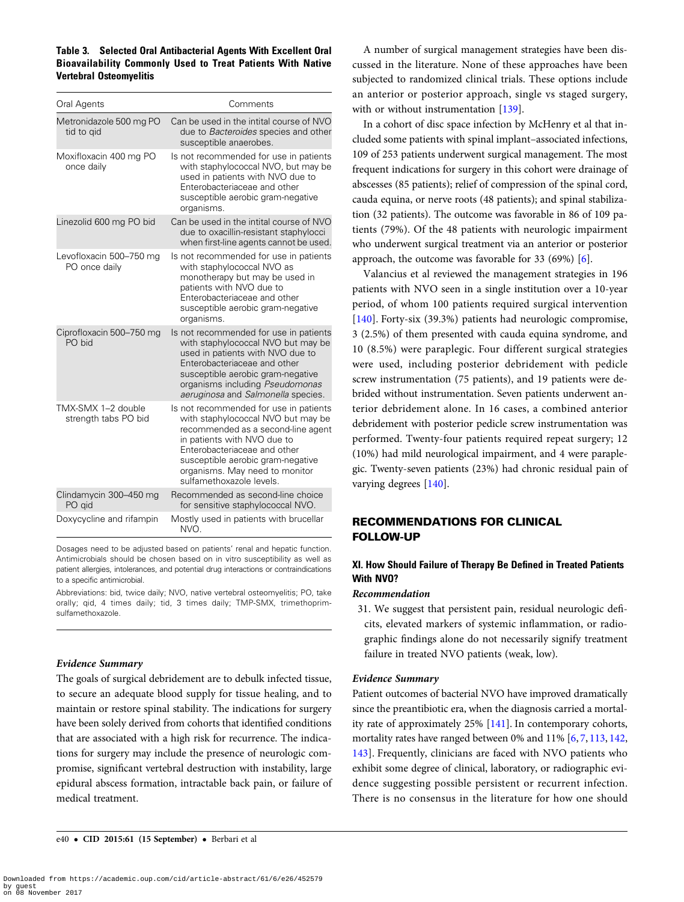<span id="page-14-0"></span>Table 3. Selected Oral Antibacterial Agents With Excellent Oral Bioavailability Commonly Used to Treat Patients With Native Vertebral Osteomyelitis

| <b>Oral Agents</b>                         | Comments                                                                                                                                                                                                                                                                             |  |
|--------------------------------------------|--------------------------------------------------------------------------------------------------------------------------------------------------------------------------------------------------------------------------------------------------------------------------------------|--|
| Metronidazole 500 mg PO<br>tid to gid      | Can be used in the intital course of NVO<br>due to Bacteroides species and other<br>susceptible anaerobes.                                                                                                                                                                           |  |
| Moxifloxacin 400 mg PO<br>once daily       | Is not recommended for use in patients<br>with staphylococcal NVO, but may be<br>used in patients with NVO due to<br>Enterobacteriaceae and other<br>susceptible aerobic gram-negative<br>organisms.                                                                                 |  |
| Linezolid 600 mg PO bid                    | Can be used in the intital course of NVO<br>due to oxacillin-resistant staphylocci<br>when first-line agents cannot be used.                                                                                                                                                         |  |
| Levofloxacin 500-750 mg<br>PO once daily   | Is not recommended for use in patients<br>with staphylococcal NVO as<br>monotherapy but may be used in<br>patients with NVO due to<br>Enterobacteriaceae and other<br>susceptible aerobic gram-negative<br>organisms.                                                                |  |
| Ciprofloxacin 500-750 mg<br>PO hid         | Is not recommended for use in patients<br>with staphylococcal NVO but may be<br>used in patients with NVO due to<br>Enterobacteriaceae and other<br>susceptible aerobic gram-negative<br>organisms including Pseudomonas<br>aeruginosa and Salmonella species.                       |  |
| TMX-SMX 1-2 double<br>strength tabs PO bid | Is not recommended for use in patients<br>with staphylococcal NVO but may be<br>recommended as a second-line agent<br>in patients with NVO due to<br>Enterobacteriaceae and other<br>susceptible aerobic gram-negative<br>organisms. May need to monitor<br>sulfamethoxazole levels. |  |
| Clindamycin 300-450 mg<br>PO gid           | Recommended as second-line choice<br>for sensitive staphylococcal NVO.                                                                                                                                                                                                               |  |
| Doxycycline and rifampin                   | Mostly used in patients with brucellar<br>NVO.                                                                                                                                                                                                                                       |  |

Dosages need to be adjusted based on patients' renal and hepatic function. Antimicrobials should be chosen based on in vitro susceptibility as well as patient allergies, intolerances, and potential drug interactions or contraindications to a specific antimicrobial.

Abbreviations: bid, twice daily; NVO, native vertebral osteomyelitis; PO, take orally; qid, 4 times daily; tid, 3 times daily; TMP-SMX, trimethoprimsulfamethoxazole.

#### Evidence Summary

The goals of surgical debridement are to debulk infected tissue, to secure an adequate blood supply for tissue healing, and to maintain or restore spinal stability. The indications for surgery have been solely derived from cohorts that identified conditions that are associated with a high risk for recurrence. The indications for surgery may include the presence of neurologic compromise, significant vertebral destruction with instability, large epidural abscess formation, intractable back pain, or failure of medical treatment.

e40 • CID 2015:61 (15 September) • Berbari et al

A number of surgical management strategies have been discussed in the literature. None of these approaches have been subjected to randomized clinical trials. These options include an anterior or posterior approach, single vs staged surgery, with or without instrumentation [\[139\]](#page-20-0).

In a cohort of disc space infection by McHenry et al that included some patients with spinal implant–associated infections, 109 of 253 patients underwent surgical management. The most frequent indications for surgery in this cohort were drainage of abscesses (85 patients); relief of compression of the spinal cord, cauda equina, or nerve roots (48 patients); and spinal stabilization (32 patients). The outcome was favorable in 86 of 109 patients (79%). Of the 48 patients with neurologic impairment who underwent surgical treatment via an anterior or posterior approach, the outcome was favorable for 33 (69%) [[6](#page-17-0)].

Valancius et al reviewed the management strategies in 196 patients with NVO seen in a single institution over a 10-year period, of whom 100 patients required surgical intervention [\[140](#page-20-0)]. Forty-six (39.3%) patients had neurologic compromise, 3 (2.5%) of them presented with cauda equina syndrome, and 10 (8.5%) were paraplegic. Four different surgical strategies were used, including posterior debridement with pedicle screw instrumentation (75 patients), and 19 patients were debrided without instrumentation. Seven patients underwent anterior debridement alone. In 16 cases, a combined anterior debridement with posterior pedicle screw instrumentation was performed. Twenty-four patients required repeat surgery; 12 (10%) had mild neurological impairment, and 4 were paraplegic. Twenty-seven patients (23%) had chronic residual pain of varying degrees [\[140\]](#page-20-0).

# RECOMMENDATIONS FOR CLINICAL FOLLOW-UP

### XI. How Should Failure of Therapy Be Defined in Treated Patients With NVO?

#### Recommendation

31. We suggest that persistent pain, residual neurologic deficits, elevated markers of systemic inflammation, or radiographic findings alone do not necessarily signify treatment failure in treated NVO patients (weak, low).

#### Evidence Summary

Patient outcomes of bacterial NVO have improved dramatically since the preantibiotic era, when the diagnosis carried a mortality rate of approximately 25% [[141](#page-20-0)]. In contemporary cohorts, mortality rates have ranged between 0% and 11% [[6](#page-17-0), [7](#page-17-0), [113,](#page-19-0) [142,](#page-20-0) [143\]](#page-20-0). Frequently, clinicians are faced with NVO patients who exhibit some degree of clinical, laboratory, or radiographic evidence suggesting possible persistent or recurrent infection. There is no consensus in the literature for how one should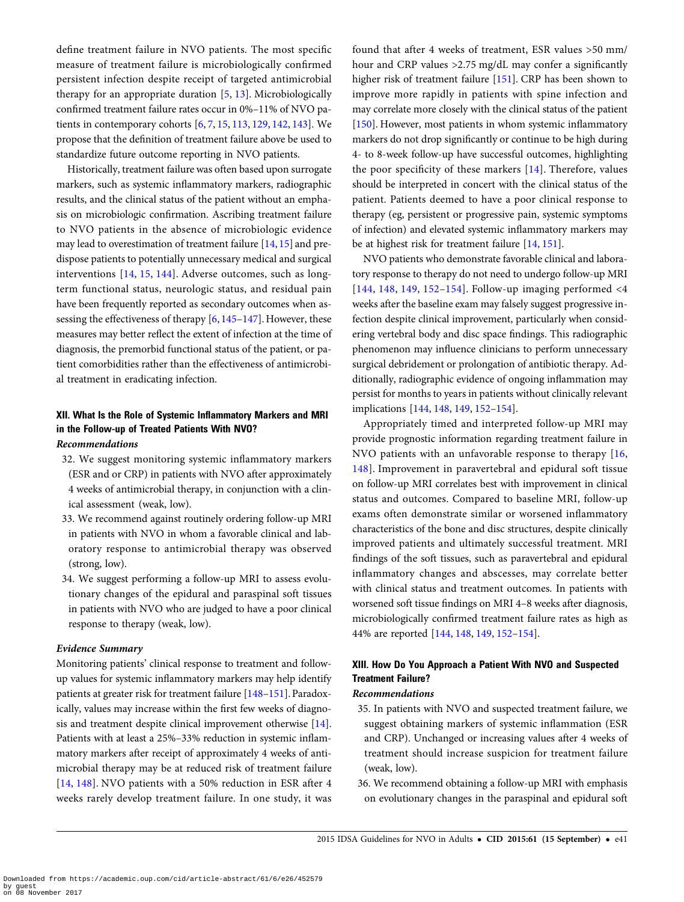define treatment failure in NVO patients. The most specific measure of treatment failure is microbiologically confirmed persistent infection despite receipt of targeted antimicrobial therapy for an appropriate duration  $[5, 13]$  $[5, 13]$  $[5, 13]$  $[5, 13]$ . Microbiologically confirmed treatment failure rates occur in 0%–11% of NVO patients in contemporary cohorts [\[6,](#page-17-0) [7,](#page-17-0) [15,](#page-17-0) [113](#page-19-0), [129,](#page-20-0) [142,](#page-20-0) [143](#page-20-0)]. We propose that the definition of treatment failure above be used to standardize future outcome reporting in NVO patients.

Historically, treatment failure was often based upon surrogate markers, such as systemic inflammatory markers, radiographic results, and the clinical status of the patient without an emphasis on microbiologic confirmation. Ascribing treatment failure to NVO patients in the absence of microbiologic evidence may lead to overestimation of treatment failure [[14,](#page-17-0) [15](#page-17-0)] and predispose patients to potentially unnecessary medical and surgical interventions [\[14,](#page-17-0) [15,](#page-17-0) [144](#page-20-0)]. Adverse outcomes, such as longterm functional status, neurologic status, and residual pain have been frequently reported as secondary outcomes when assessing the effectiveness of therapy [\[6,](#page-17-0) [145](#page-20-0)–[147](#page-20-0)]. However, these measures may better reflect the extent of infection at the time of diagnosis, the premorbid functional status of the patient, or patient comorbidities rather than the effectiveness of antimicrobial treatment in eradicating infection.

### XII. What Is the Role of Systemic Inflammatory Markers and MRI in the Follow-up of Treated Patients With NVO? Recommendations

- 32. We suggest monitoring systemic inflammatory markers (ESR and or CRP) in patients with NVO after approximately 4 weeks of antimicrobial therapy, in conjunction with a clinical assessment (weak, low).
- 33. We recommend against routinely ordering follow-up MRI in patients with NVO in whom a favorable clinical and laboratory response to antimicrobial therapy was observed (strong, low).
- 34. We suggest performing a follow-up MRI to assess evolutionary changes of the epidural and paraspinal soft tissues in patients with NVO who are judged to have a poor clinical response to therapy (weak, low).

#### Evidence Summary

Monitoring patients' clinical response to treatment and followup values for systemic inflammatory markers may help identify patients at greater risk for treatment failure [[148](#page-20-0)–[151\]](#page-20-0). Paradoxically, values may increase within the first few weeks of diagnosis and treatment despite clinical improvement otherwise [\[14\]](#page-17-0). Patients with at least a 25%–33% reduction in systemic inflammatory markers after receipt of approximately 4 weeks of antimicrobial therapy may be at reduced risk of treatment failure [\[14,](#page-17-0) [148](#page-20-0)]. NVO patients with a 50% reduction in ESR after 4 weeks rarely develop treatment failure. In one study, it was found that after 4 weeks of treatment, ESR values >50 mm/ hour and CRP values >2.75 mg/dL may confer a significantly higher risk of treatment failure [\[151\]](#page-20-0). CRP has been shown to improve more rapidly in patients with spine infection and may correlate more closely with the clinical status of the patient [\[150\]](#page-20-0). However, most patients in whom systemic inflammatory markers do not drop significantly or continue to be high during 4- to 8-week follow-up have successful outcomes, highlighting the poor specificity of these markers [[14\]](#page-17-0). Therefore, values should be interpreted in concert with the clinical status of the patient. Patients deemed to have a poor clinical response to therapy (eg, persistent or progressive pain, systemic symptoms of infection) and elevated systemic inflammatory markers may be at highest risk for treatment failure [[14,](#page-17-0) [151](#page-20-0)].

NVO patients who demonstrate favorable clinical and laboratory response to therapy do not need to undergo follow-up MRI [\[144,](#page-20-0) [148](#page-20-0), [149](#page-20-0), [152](#page-20-0)–[154](#page-20-0)]. Follow-up imaging performed <4 weeks after the baseline exam may falsely suggest progressive infection despite clinical improvement, particularly when considering vertebral body and disc space findings. This radiographic phenomenon may influence clinicians to perform unnecessary surgical debridement or prolongation of antibiotic therapy. Additionally, radiographic evidence of ongoing inflammation may persist for months to years in patients without clinically relevant implications [[144](#page-20-0), [148](#page-20-0), [149](#page-20-0), [152](#page-20-0)–[154\]](#page-20-0).

Appropriately timed and interpreted follow-up MRI may provide prognostic information regarding treatment failure in NVO patients with an unfavorable response to therapy [\[16,](#page-17-0) [148](#page-20-0)]. Improvement in paravertebral and epidural soft tissue on follow-up MRI correlates best with improvement in clinical status and outcomes. Compared to baseline MRI, follow-up exams often demonstrate similar or worsened inflammatory characteristics of the bone and disc structures, despite clinically improved patients and ultimately successful treatment. MRI findings of the soft tissues, such as paravertebral and epidural inflammatory changes and abscesses, may correlate better with clinical status and treatment outcomes. In patients with worsened soft tissue findings on MRI 4–8 weeks after diagnosis, microbiologically confirmed treatment failure rates as high as 44% are reported [[144](#page-20-0), [148](#page-20-0), [149](#page-20-0), [152](#page-20-0)–[154](#page-20-0)].

# XIII. How Do You Approach a Patient With NVO and Suspected Treatment Failure?

- 35. In patients with NVO and suspected treatment failure, we suggest obtaining markers of systemic inflammation (ESR and CRP). Unchanged or increasing values after 4 weeks of treatment should increase suspicion for treatment failure (weak, low).
- 36. We recommend obtaining a follow-up MRI with emphasis on evolutionary changes in the paraspinal and epidural soft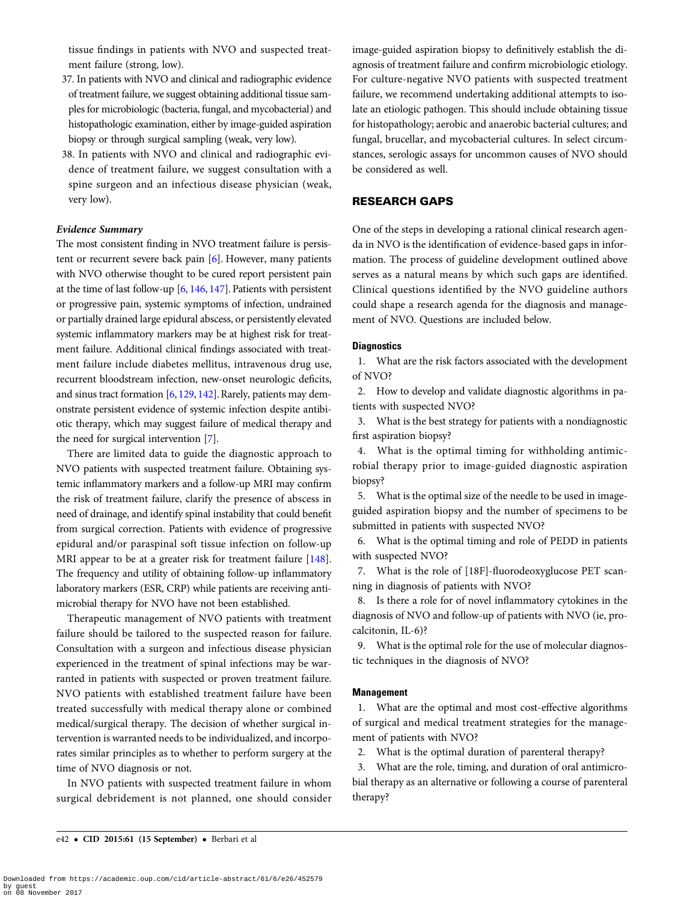tissue findings in patients with NVO and suspected treatment failure (strong, low).

- 37. In patients with NVO and clinical and radiographic evidence of treatment failure, we suggest obtaining additional tissue samples for microbiologic (bacteria, fungal, and mycobacterial) and histopathologic examination, either by image-guided aspiration biopsy or through surgical sampling (weak, very low).
- 38. In patients with NVO and clinical and radiographic evidence of treatment failure, we suggest consultation with a spine surgeon and an infectious disease physician (weak, very low).

#### Evidence Summary

The most consistent finding in NVO treatment failure is persistent or recurrent severe back pain [[6](#page-17-0)]. However, many patients with NVO otherwise thought to be cured report persistent pain at the time of last follow-up [[6](#page-17-0), [146](#page-20-0), [147](#page-20-0)]. Patients with persistent or progressive pain, systemic symptoms of infection, undrained or partially drained large epidural abscess, or persistently elevated systemic inflammatory markers may be at highest risk for treatment failure. Additional clinical findings associated with treatment failure include diabetes mellitus, intravenous drug use, recurrent bloodstream infection, new-onset neurologic deficits, and sinus tract formation [\[6,](#page-17-0) [129](#page-20-0), [142](#page-20-0)]. Rarely, patients may demonstrate persistent evidence of systemic infection despite antibiotic therapy, which may suggest failure of medical therapy and the need for surgical intervention [\[7\]](#page-17-0).

There are limited data to guide the diagnostic approach to NVO patients with suspected treatment failure. Obtaining systemic inflammatory markers and a follow-up MRI may confirm the risk of treatment failure, clarify the presence of abscess in need of drainage, and identify spinal instability that could benefit from surgical correction. Patients with evidence of progressive epidural and/or paraspinal soft tissue infection on follow-up MRI appear to be at a greater risk for treatment failure [[148\]](#page-20-0). The frequency and utility of obtaining follow-up inflammatory laboratory markers (ESR, CRP) while patients are receiving antimicrobial therapy for NVO have not been established.

Therapeutic management of NVO patients with treatment failure should be tailored to the suspected reason for failure. Consultation with a surgeon and infectious disease physician experienced in the treatment of spinal infections may be warranted in patients with suspected or proven treatment failure. NVO patients with established treatment failure have been treated successfully with medical therapy alone or combined medical/surgical therapy. The decision of whether surgical intervention is warranted needs to be individualized, and incorporates similar principles as to whether to perform surgery at the time of NVO diagnosis or not.

In NVO patients with suspected treatment failure in whom surgical debridement is not planned, one should consider

image-guided aspiration biopsy to definitively establish the diagnosis of treatment failure and confirm microbiologic etiology. For culture-negative NVO patients with suspected treatment failure, we recommend undertaking additional attempts to isolate an etiologic pathogen. This should include obtaining tissue for histopathology; aerobic and anaerobic bacterial cultures; and fungal, brucellar, and mycobacterial cultures. In select circumstances, serologic assays for uncommon causes of NVO should be considered as well.

### RESEARCH GAPS

One of the steps in developing a rational clinical research agenda in NVO is the identification of evidence-based gaps in information. The process of guideline development outlined above serves as a natural means by which such gaps are identified. Clinical questions identified by the NVO guideline authors could shape a research agenda for the diagnosis and management of NVO. Questions are included below.

#### **Diagnostics**

1. What are the risk factors associated with the development of NVO?

2. How to develop and validate diagnostic algorithms in patients with suspected NVO?

3. What is the best strategy for patients with a nondiagnostic first aspiration biopsy?

4. What is the optimal timing for withholding antimicrobial therapy prior to image-guided diagnostic aspiration biopsy?

5. What is the optimal size of the needle to be used in imageguided aspiration biopsy and the number of specimens to be submitted in patients with suspected NVO?

6. What is the optimal timing and role of PEDD in patients with suspected NVO?

7. What is the role of [18F]-fluorodeoxyglucose PET scanning in diagnosis of patients with NVO?

8. Is there a role for of novel inflammatory cytokines in the diagnosis of NVO and follow-up of patients with NVO (ie, procalcitonin, IL-6)?

9. What is the optimal role for the use of molecular diagnostic techniques in the diagnosis of NVO?

#### Management

1. What are the optimal and most cost-effective algorithms of surgical and medical treatment strategies for the management of patients with NVO?

2. What is the optimal duration of parenteral therapy?

3. What are the role, timing, and duration of oral antimicrobial therapy as an alternative or following a course of parenteral therapy?

e42 • CID 2015:61 (15 September) • Berbari et al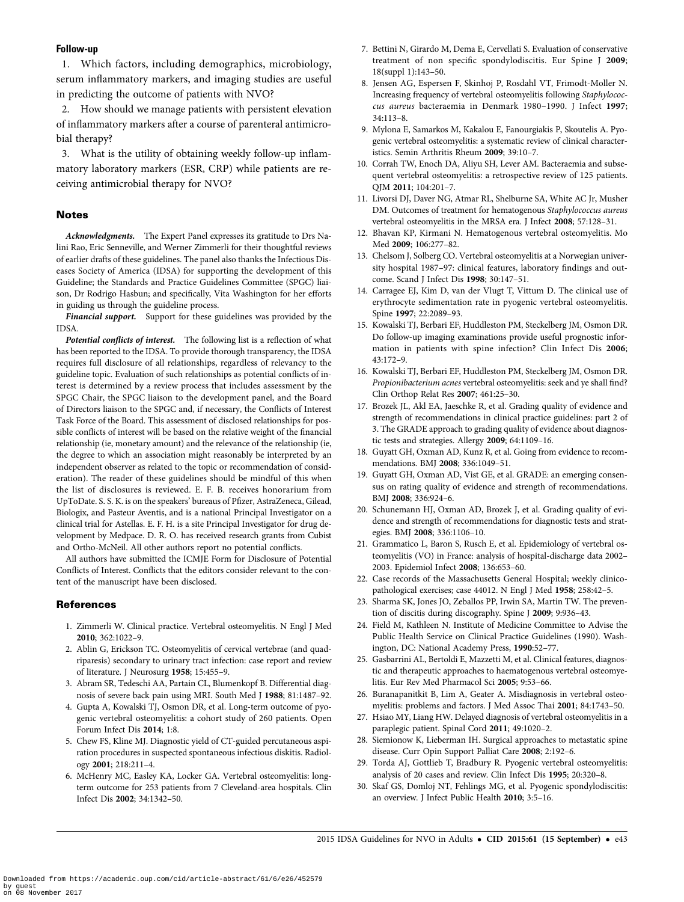#### <span id="page-17-0"></span>Follow-up

1. Which factors, including demographics, microbiology, serum inflammatory markers, and imaging studies are useful in predicting the outcome of patients with NVO?

2. How should we manage patients with persistent elevation of inflammatory markers after a course of parenteral antimicrobial therapy?

3. What is the utility of obtaining weekly follow-up inflammatory laboratory markers (ESR, CRP) while patients are receiving antimicrobial therapy for NVO?

#### Notes

Acknowledgments. The Expert Panel expresses its gratitude to Drs Nalini Rao, Eric Senneville, and Werner Zimmerli for their thoughtful reviews of earlier drafts of these guidelines. The panel also thanks the Infectious Diseases Society of America (IDSA) for supporting the development of this Guideline; the Standards and Practice Guidelines Committee (SPGC) liaison, Dr Rodrigo Hasbun; and specifically, Vita Washington for her efforts in guiding us through the guideline process.

Financial support. Support for these guidelines was provided by the IDSA.

Potential conflicts of interest. The following list is a reflection of what has been reported to the IDSA. To provide thorough transparency, the IDSA requires full disclosure of all relationships, regardless of relevancy to the guideline topic. Evaluation of such relationships as potential conflicts of interest is determined by a review process that includes assessment by the SPGC Chair, the SPGC liaison to the development panel, and the Board of Directors liaison to the SPGC and, if necessary, the Conflicts of Interest Task Force of the Board. This assessment of disclosed relationships for possible conflicts of interest will be based on the relative weight of the financial relationship (ie, monetary amount) and the relevance of the relationship (ie, the degree to which an association might reasonably be interpreted by an independent observer as related to the topic or recommendation of consideration). The reader of these guidelines should be mindful of this when the list of disclosures is reviewed. E. F. B. receives honorarium from UpToDate. S. S. K. is on the speakers' bureaus of Pfizer, AstraZeneca, Gilead, Biologix, and Pasteur Aventis, and is a national Principal Investigator on a clinical trial for Astellas. E. F. H. is a site Principal Investigator for drug development by Medpace. D. R. O. has received research grants from Cubist and Ortho-McNeil. All other authors report no potential conflicts.

All authors have submitted the ICMJE Form for Disclosure of Potential Conflicts of Interest. Conflicts that the editors consider relevant to the content of the manuscript have been disclosed.

#### **References**

- 1. Zimmerli W. Clinical practice. Vertebral osteomyelitis. N Engl J Med 2010; 362:1022–9.
- 2. Ablin G, Erickson TC. Osteomyelitis of cervical vertebrae (and quadriparesis) secondary to urinary tract infection: case report and review of literature. J Neurosurg 1958; 15:455–9.
- 3. Abram SR, Tedeschi AA, Partain CL, Blumenkopf B. Differential diagnosis of severe back pain using MRI. South Med J 1988; 81:1487–92.
- 4. Gupta A, Kowalski TJ, Osmon DR, et al. Long-term outcome of pyogenic vertebral osteomyelitis: a cohort study of 260 patients. Open Forum Infect Dis 2014; 1:8.
- 5. Chew FS, Kline MJ. Diagnostic yield of CT-guided percutaneous aspiration procedures in suspected spontaneous infectious diskitis. Radiology 2001; 218:211–4.
- 6. McHenry MC, Easley KA, Locker GA. Vertebral osteomyelitis: longterm outcome for 253 patients from 7 Cleveland-area hospitals. Clin Infect Dis 2002; 34:1342–50.
- 7. Bettini N, Girardo M, Dema E, Cervellati S. Evaluation of conservative treatment of non specific spondylodiscitis. Eur Spine J 2009; 18(suppl 1):143–50.
- 8. Jensen AG, Espersen F, Skinhoj P, Rosdahl VT, Frimodt-Moller N. Increasing frequency of vertebral osteomyelitis following Staphylococcus aureus bacteraemia in Denmark 1980–1990. J Infect 1997; 34:113–8.
- 9. Mylona E, Samarkos M, Kakalou E, Fanourgiakis P, Skoutelis A. Pyogenic vertebral osteomyelitis: a systematic review of clinical characteristics. Semin Arthritis Rheum 2009; 39:10–7.
- 10. Corrah TW, Enoch DA, Aliyu SH, Lever AM. Bacteraemia and subsequent vertebral osteomyelitis: a retrospective review of 125 patients. QJM 2011; 104:201–7.
- 11. Livorsi DJ, Daver NG, Atmar RL, Shelburne SA, White AC Jr, Musher DM. Outcomes of treatment for hematogenous Staphylococcus aureus vertebral osteomyelitis in the MRSA era. J Infect 2008; 57:128–31.
- 12. Bhavan KP, Kirmani N. Hematogenous vertebral osteomyelitis. Mo Med 2009; 106:277–82.
- 13. Chelsom J, Solberg CO. Vertebral osteomyelitis at a Norwegian university hospital 1987–97: clinical features, laboratory findings and outcome. Scand J Infect Dis 1998; 30:147–51.
- 14. Carragee EJ, Kim D, van der Vlugt T, Vittum D. The clinical use of erythrocyte sedimentation rate in pyogenic vertebral osteomyelitis. Spine 1997; 22:2089–93.
- 15. Kowalski TJ, Berbari EF, Huddleston PM, Steckelberg JM, Osmon DR. Do follow-up imaging examinations provide useful prognostic information in patients with spine infection? Clin Infect Dis 2006; 43:172–9.
- 16. Kowalski TJ, Berbari EF, Huddleston PM, Steckelberg JM, Osmon DR. Propionibacterium acnes vertebral osteomyelitis: seek and ye shall find? Clin Orthop Relat Res 2007; 461:25–30.
- 17. Brozek JL, Akl EA, Jaeschke R, et al. Grading quality of evidence and strength of recommendations in clinical practice guidelines: part 2 of 3. The GRADE approach to grading quality of evidence about diagnostic tests and strategies. Allergy 2009; 64:1109–16.
- 18. Guyatt GH, Oxman AD, Kunz R, et al. Going from evidence to recommendations. BMJ 2008; 336:1049–51.
- 19. Guyatt GH, Oxman AD, Vist GE, et al. GRADE: an emerging consensus on rating quality of evidence and strength of recommendations. BMJ 2008; 336:924–6.
- 20. Schunemann HJ, Oxman AD, Brozek J, et al. Grading quality of evidence and strength of recommendations for diagnostic tests and strategies. BMJ 2008; 336:1106–10.
- 21. Grammatico L, Baron S, Rusch E, et al. Epidemiology of vertebral osteomyelitis (VO) in France: analysis of hospital-discharge data 2002– 2003. Epidemiol Infect 2008; 136:653–60.
- 22. Case records of the Massachusetts General Hospital; weekly clinicopathological exercises; case 44012. N Engl J Med 1958; 258:42–5.
- 23. Sharma SK, Jones JO, Zeballos PP, Irwin SA, Martin TW. The prevention of discitis during discography. Spine J 2009; 9:936–43.
- 24. Field M, Kathleen N. Institute of Medicine Committee to Advise the Public Health Service on Clinical Practice Guidelines (1990). Washington, DC: National Academy Press, 1990:52–77.
- 25. Gasbarrini AL, Bertoldi E, Mazzetti M, et al. Clinical features, diagnostic and therapeutic approaches to haematogenous vertebral osteomyelitis. Eur Rev Med Pharmacol Sci 2005; 9:53–66.
- 26. Buranapanitkit B, Lim A, Geater A. Misdiagnosis in vertebral osteomyelitis: problems and factors. J Med Assoc Thai 2001; 84:1743–50.
- 27. Hsiao MY, Liang HW. Delayed diagnosis of vertebral osteomyelitis in a paraplegic patient. Spinal Cord 2011; 49:1020–2.
- 28. Siemionow K, Lieberman IH. Surgical approaches to metastatic spine disease. Curr Opin Support Palliat Care 2008; 2:192–6.
- 29. Torda AJ, Gottlieb T, Bradbury R. Pyogenic vertebral osteomyelitis: analysis of 20 cases and review. Clin Infect Dis 1995; 20:320–8.
- 30. Skaf GS, Domloj NT, Fehlings MG, et al. Pyogenic spondylodiscitis: an overview. J Infect Public Health 2010; 3:5–16.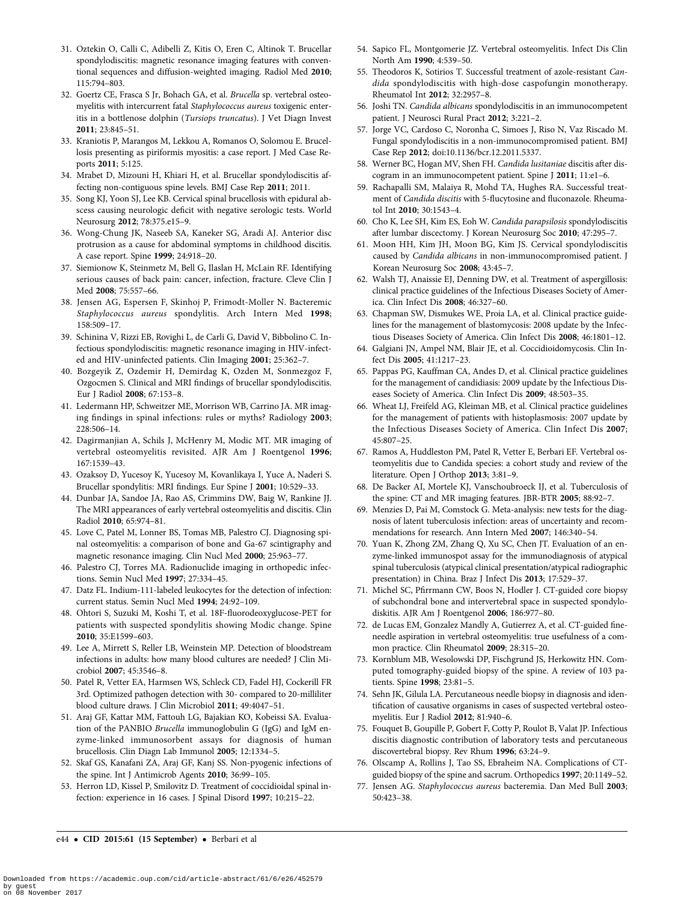- <span id="page-18-0"></span>31. Oztekin O, Calli C, Adibelli Z, Kitis O, Eren C, Altinok T. Brucellar spondylodiscitis: magnetic resonance imaging features with conventional sequences and diffusion-weighted imaging. Radiol Med 2010; 115:794–803.
- 32. Goertz CE, Frasca S Jr, Bohach GA, et al. Brucella sp. vertebral osteomyelitis with intercurrent fatal Staphylococcus aureus toxigenic enteritis in a bottlenose dolphin (Tursiops truncatus). J Vet Diagn Invest 2011; 23:845–51.
- 33. Kraniotis P, Marangos M, Lekkou A, Romanos O, Solomou E. Brucellosis presenting as piriformis myositis: a case report. J Med Case Reports 2011; 5:125.
- 34. Mrabet D, Mizouni H, Khiari H, et al. Brucellar spondylodiscitis affecting non-contiguous spine levels. BMJ Case Rep 2011; 2011.
- 35. Song KJ, Yoon SJ, Lee KB. Cervical spinal brucellosis with epidural abscess causing neurologic deficit with negative serologic tests. World Neurosurg 2012; 78:375.e15–9.
- 36. Wong-Chung JK, Naseeb SA, Kaneker SG, Aradi AJ. Anterior disc protrusion as a cause for abdominal symptoms in childhood discitis. A case report. Spine 1999; 24:918–20.
- 37. Siemionow K, Steinmetz M, Bell G, Ilaslan H, McLain RF. Identifying serious causes of back pain: cancer, infection, fracture. Cleve Clin J Med 2008; 75:557–66.
- 38. Jensen AG, Espersen F, Skinhoj P, Frimodt-Moller N. Bacteremic Staphylococcus aureus spondylitis. Arch Intern Med 1998; 158:509–17.
- 39. Schinina V, Rizzi EB, Rovighi L, de Carli G, David V, Bibbolino C. Infectious spondylodiscitis: magnetic resonance imaging in HIV-infected and HIV-uninfected patients. Clin Imaging 2001; 25:362–7.
- 40. Bozgeyik Z, Ozdemir H, Demirdag K, Ozden M, Sonmezgoz F, Ozgocmen S. Clinical and MRI findings of brucellar spondylodiscitis. Eur J Radiol 2008; 67:153–8.
- 41. Ledermann HP, Schweitzer ME, Morrison WB, Carrino JA. MR imaging findings in spinal infections: rules or myths? Radiology 2003; 228:506–14.
- 42. Dagirmanjian A, Schils J, McHenry M, Modic MT. MR imaging of vertebral osteomyelitis revisited. AJR Am J Roentgenol 1996; 167:1539–43.
- 43. Ozaksoy D, Yucesoy K, Yucesoy M, Kovanlikaya I, Yuce A, Naderi S. Brucellar spondylitis: MRI findings. Eur Spine J 2001; 10:529–33.
- 44. Dunbar JA, Sandoe JA, Rao AS, Crimmins DW, Baig W, Rankine JJ. The MRI appearances of early vertebral osteomyelitis and discitis. Clin Radiol 2010; 65:974–81.
- 45. Love C, Patel M, Lonner BS, Tomas MB, Palestro CJ. Diagnosing spinal osteomyelitis: a comparison of bone and Ga-67 scintigraphy and magnetic resonance imaging. Clin Nucl Med 2000; 25:963–77.
- 46. Palestro CJ, Torres MA. Radionuclide imaging in orthopedic infections. Semin Nucl Med 1997; 27:334–45.
- 47. Datz FL. Indium-111-labeled leukocytes for the detection of infection: current status. Semin Nucl Med 1994; 24:92–109.
- 48. Ohtori S, Suzuki M, Koshi T, et al. 18F-fluorodeoxyglucose-PET for patients with suspected spondylitis showing Modic change. Spine 2010; 35:E1599–603.
- 49. Lee A, Mirrett S, Reller LB, Weinstein MP. Detection of bloodstream infections in adults: how many blood cultures are needed? J Clin Microbiol 2007; 45:3546–8.
- 50. Patel R, Vetter EA, Harmsen WS, Schleck CD, Fadel HJ, Cockerill FR 3rd. Optimized pathogen detection with 30- compared to 20-milliliter blood culture draws. J Clin Microbiol 2011; 49:4047–51.
- 51. Araj GF, Kattar MM, Fattouh LG, Bajakian KO, Kobeissi SA. Evaluation of the PANBIO Brucella immunoglobulin G (IgG) and IgM enzyme-linked immunosorbent assays for diagnosis of human brucellosis. Clin Diagn Lab Immunol 2005; 12:1334–5.
- 52. Skaf GS, Kanafani ZA, Araj GF, Kanj SS. Non-pyogenic infections of the spine. Int J Antimicrob Agents 2010; 36:99–105.
- 53. Herron LD, Kissel P, Smilovitz D. Treatment of coccidioidal spinal infection: experience in 16 cases. J Spinal Disord 1997; 10:215–22.
- 54. Sapico FL, Montgomerie JZ. Vertebral osteomyelitis. Infect Dis Clin North Am 1990; 4:539–50.
- 55. Theodoros K, Sotirios T. Successful treatment of azole-resistant Candida spondylodiscitis with high-dose caspofungin monotherapy. Rheumatol Int 2012; 32:2957–8.
- 56. Joshi TN. Candida albicans spondylodiscitis in an immunocompetent patient. J Neurosci Rural Pract 2012; 3:221–2.
- 57. Jorge VC, Cardoso C, Noronha C, Simoes J, Riso N, Vaz Riscado M. Fungal spondylodiscitis in a non-immunocompromised patient. BMJ Case Rep 2012; doi:10.1136/bcr.12.2011.5337.
- 58. Werner BC, Hogan MV, Shen FH. Candida lusitaniae discitis after discogram in an immunocompetent patient. Spine J 2011; 11:e1–6.
- 59. Rachapalli SM, Malaiya R, Mohd TA, Hughes RA. Successful treatment of Candida discitis with 5-flucytosine and fluconazole. Rheumatol Int 2010; 30:1543–4.
- 60. Cho K, Lee SH, Kim ES, Eoh W. Candida parapsilosis spondylodiscitis after lumbar discectomy. J Korean Neurosurg Soc 2010; 47:295–7.
- 61. Moon HH, Kim JH, Moon BG, Kim JS. Cervical spondylodiscitis caused by Candida albicans in non-immunocompromised patient. J Korean Neurosurg Soc 2008; 43:45–7.
- 62. Walsh TJ, Anaissie EJ, Denning DW, et al. Treatment of aspergillosis: clinical practice guidelines of the Infectious Diseases Society of America. Clin Infect Dis 2008; 46:327–60.
- 63. Chapman SW, Dismukes WE, Proia LA, et al. Clinical practice guidelines for the management of blastomycosis: 2008 update by the Infectious Diseases Society of America. Clin Infect Dis 2008; 46:1801–12.
- 64. Galgiani JN, Ampel NM, Blair JE, et al. Coccidioidomycosis. Clin Infect Dis 2005; 41:1217–23.
- 65. Pappas PG, Kauffman CA, Andes D, et al. Clinical practice guidelines for the management of candidiasis: 2009 update by the Infectious Diseases Society of America. Clin Infect Dis 2009; 48:503–35.
- 66. Wheat LJ, Freifeld AG, Kleiman MB, et al. Clinical practice guidelines for the management of patients with histoplasmosis: 2007 update by the Infectious Diseases Society of America. Clin Infect Dis 2007; 45:807–25.
- 67. Ramos A, Huddleston PM, Patel R, Vetter E, Berbari EF. Vertebral osteomyelitis due to Candida species: a cohort study and review of the literature. Open J Orthop 2013; 3:81–9.
- 68. De Backer AI, Mortele KJ, Vanschoubroeck IJ, et al. Tuberculosis of the spine: CT and MR imaging features. JBR-BTR 2005; 88:92–7.
- 69. Menzies D, Pai M, Comstock G. Meta-analysis: new tests for the diagnosis of latent tuberculosis infection: areas of uncertainty and recommendations for research. Ann Intern Med 2007; 146:340–54.
- 70. Yuan K, Zhong ZM, Zhang Q, Xu SC, Chen JT. Evaluation of an enzyme-linked immunospot assay for the immunodiagnosis of atypical spinal tuberculosis (atypical clinical presentation/atypical radiographic presentation) in China. Braz J Infect Dis 2013; 17:529–37.
- 71. Michel SC, Pfirrmann CW, Boos N, Hodler J. CT-guided core biopsy of subchondral bone and intervertebral space in suspected spondylodiskitis. AJR Am J Roentgenol 2006; 186:977–80.
- 72. de Lucas EM, Gonzalez Mandly A, Gutierrez A, et al. CT-guided fineneedle aspiration in vertebral osteomyelitis: true usefulness of a common practice. Clin Rheumatol 2009; 28:315–20.
- 73. Kornblum MB, Wesolowski DP, Fischgrund JS, Herkowitz HN. Computed tomography-guided biopsy of the spine. A review of 103 patients. Spine 1998; 23:81–5.
- 74. Sehn JK, Gilula LA. Percutaneous needle biopsy in diagnosis and identification of causative organisms in cases of suspected vertebral osteomyelitis. Eur J Radiol 2012; 81:940–6.
- 75. Fouquet B, Goupille P, Gobert F, Cotty P, Roulot B, Valat JP. Infectious discitis diagnostic contribution of laboratory tests and percutaneous discovertebral biopsy. Rev Rhum 1996; 63:24–9.
- 76. Olscamp A, Rollins J, Tao SS, Ebraheim NA. Complications of CTguided biopsy of the spine and sacrum. Orthopedics 1997; 20:1149–52.
- 77. Jensen AG. Staphylococcus aureus bacteremia. Dan Med Bull 2003; 50:423–38.

e44 • CID 2015:61 (15 September) • Berbari et al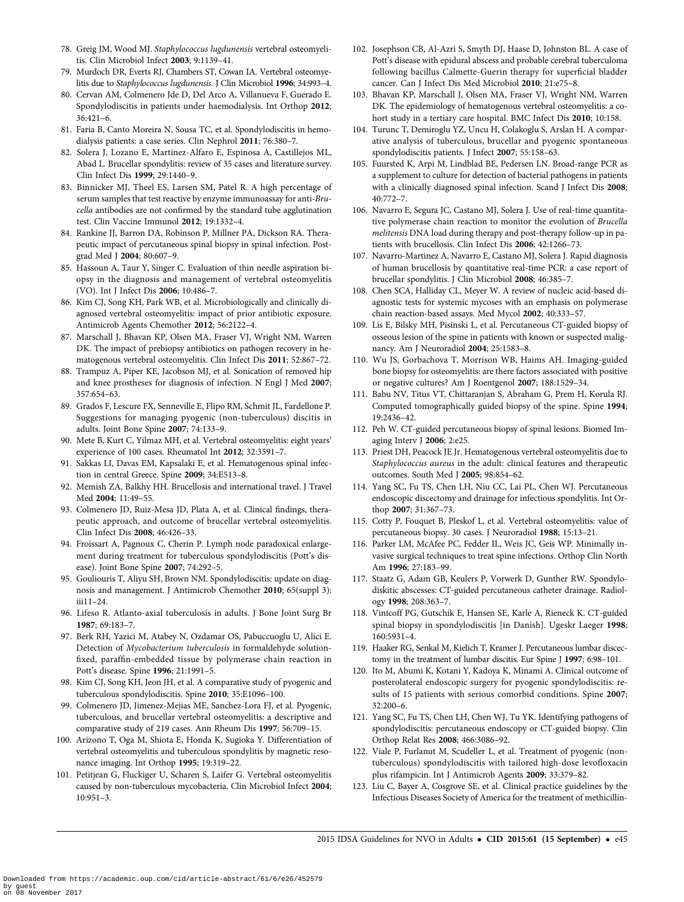- <span id="page-19-0"></span>78. Greig JM, Wood MJ. Staphylococcus lugdunensis vertebral osteomyelitis. Clin Microbiol Infect 2003; 9:1139–41.
- 79. Murdoch DR, Everts RJ, Chambers ST, Cowan IA. Vertebral osteomyelitis due to Staphylococcus lugdunensis. J Clin Microbiol 1996; 34:993–4.
- 80. Cervan AM, Colmenero Jde D, Del Arco A, Villanueva F, Guerado E. Spondylodiscitis in patients under haemodialysis. Int Orthop 2012; 36:421–6.
- 81. Faria B, Canto Moreira N, Sousa TC, et al. Spondylodiscitis in hemodialysis patients: a case series. Clin Nephrol 2011; 76:380–7.
- 82. Solera J, Lozano E, Martinez-Alfaro E, Espinosa A, Castillejos ML, Abad L. Brucellar spondylitis: review of 35 cases and literature survey. Clin Infect Dis 1999; 29:1440–9.
- 83. Binnicker MJ, Theel ES, Larsen SM, Patel R. A high percentage of serum samples that test reactive by enzyme immunoassay for anti-Brucella antibodies are not confirmed by the standard tube agglutination test. Clin Vaccine Immunol 2012; 19:1332–4.
- 84. Rankine JJ, Barron DA, Robinson P, Millner PA, Dickson RA. Therapeutic impact of percutaneous spinal biopsy in spinal infection. Postgrad Med J 2004; 80:607–9.
- 85. Hassoun A, Taur Y, Singer C. Evaluation of thin needle aspiration biopsy in the diagnosis and management of vertebral osteomyelitis (VO). Int J Infect Dis 2006; 10:486–7.
- 86. Kim CJ, Song KH, Park WB, et al. Microbiologically and clinically diagnosed vertebral osteomyelitis: impact of prior antibiotic exposure. Antimicrob Agents Chemother 2012; 56:2122–4.
- 87. Marschall J, Bhavan KP, Olsen MA, Fraser VJ, Wright NM, Warren DK. The impact of prebiopsy antibiotics on pathogen recovery in hematogenous vertebral osteomyelitis. Clin Infect Dis 2011; 52:867–72.
- 88. Trampuz A, Piper KE, Jacobson MJ, et al. Sonication of removed hip and knee prostheses for diagnosis of infection. N Engl J Med 2007; 357:654–63.
- 89. Grados F, Lescure FX, Senneville E, Flipo RM, Schmit JL, Fardellone P. Suggestions for managing pyogenic (non-tuberculous) discitis in adults. Joint Bone Spine 2007; 74:133–9.
- 90. Mete B, Kurt C, Yilmaz MH, et al. Vertebral osteomyelitis: eight years' experience of 100 cases. Rheumatol Int 2012; 32:3591–7.
- 91. Sakkas LI, Davas EM, Kapsalaki E, et al. Hematogenous spinal infection in central Greece. Spine 2009; 34:E513–8.
- 92. Memish ZA, Balkhy HH. Brucellosis and international travel. J Travel Med 2004; 11:49–55.
- 93. Colmenero JD, Ruiz-Mesa JD, Plata A, et al. Clinical findings, therapeutic approach, and outcome of brucellar vertebral osteomyelitis. Clin Infect Dis 2008; 46:426–33.
- 94. Froissart A, Pagnoux C, Cherin P. Lymph node paradoxical enlargement during treatment for tuberculous spondylodiscitis (Pott's disease). Joint Bone Spine 2007; 74:292–5.
- 95. Gouliouris T, Aliyu SH, Brown NM. Spondylodiscitis: update on diagnosis and management. J Antimicrob Chemother 2010; 65(suppl 3): iii11–24.
- 96. Lifeso R. Atlanto-axial tuberculosis in adults. J Bone Joint Surg Br 1987; 69:183–7.
- 97. Berk RH, Yazici M, Atabey N, Ozdamar OS, Pabuccuoglu U, Alici E. Detection of Mycobacterium tuberculosis in formaldehyde solutionfixed, paraffin-embedded tissue by polymerase chain reaction in Pott's disease. Spine 1996; 21:1991–5.
- 98. Kim CJ, Song KH, Jeon JH, et al. A comparative study of pyogenic and tuberculous spondylodiscitis. Spine 2010; 35:E1096–100.
- 99. Colmenero JD, Jimenez-Mejias ME, Sanchez-Lora FJ, et al. Pyogenic, tuberculous, and brucellar vertebral osteomyelitis: a descriptive and comparative study of 219 cases. Ann Rheum Dis 1997; 56:709–15.
- 100. Arizono T, Oga M, Shiota E, Honda K, Sugioka Y. Differentiation of vertebral osteomyelitis and tuberculous spondylitis by magnetic resonance imaging. Int Orthop 1995; 19:319–22.
- 101. Petitjean G, Fluckiger U, Scharen S, Laifer G. Vertebral osteomyelitis caused by non-tuberculous mycobacteria. Clin Microbiol Infect 2004; 10:951–3.
- 102. Josephson CB, Al-Azri S, Smyth DJ, Haase D, Johnston BL. A case of Pott's disease with epidural abscess and probable cerebral tuberculoma following bacillus Calmette-Guerin therapy for superficial bladder cancer. Can J Infect Dis Med Microbiol 2010; 21:e75–8.
- 103. Bhavan KP, Marschall J, Olsen MA, Fraser VJ, Wright NM, Warren DK. The epidemiology of hematogenous vertebral osteomyelitis: a cohort study in a tertiary care hospital. BMC Infect Dis 2010; 10:158.
- 104. Turunc T, Demiroglu YZ, Uncu H, Colakoglu S, Arslan H. A comparative analysis of tuberculous, brucellar and pyogenic spontaneous spondylodiscitis patients. J Infect 2007; 55:158–63.
- 105. Fuursted K, Arpi M, Lindblad BE, Pedersen LN. Broad-range PCR as a supplement to culture for detection of bacterial pathogens in patients with a clinically diagnosed spinal infection. Scand J Infect Dis 2008; 40:772–7.
- 106. Navarro E, Segura JC, Castano MJ, Solera J. Use of real-time quantitative polymerase chain reaction to monitor the evolution of Brucella melitensis DNA load during therapy and post-therapy follow-up in patients with brucellosis. Clin Infect Dis 2006; 42:1266–73.
- 107. Navarro-Martinez A, Navarro E, Castano MJ, Solera J. Rapid diagnosis of human brucellosis by quantitative real-time PCR: a case report of brucellar spondylitis. J Clin Microbiol 2008; 46:385–7.
- 108. Chen SCA, Halliday CL, Meyer W. A review of nucleic acid-based diagnostic tests for systemic mycoses with an emphasis on polymerase chain reaction-based assays. Med Mycol 2002; 40:333–57.
- 109. Lis E, Bilsky MH, Pisinski L, et al. Percutaneous CT-guided biopsy of osseous lesion of the spine in patients with known or suspected malignancy. Am J Neuroradiol 2004; 25:1583–8.
- 110. Wu JS, Gorbachova T, Morrison WB, Haims AH. Imaging-guided bone biopsy for osteomyelitis: are there factors associated with positive or negative cultures? Am J Roentgenol 2007; 188:1529–34.
- 111. Babu NV, Titus VT, Chittaranjan S, Abraham G, Prem H, Korula RJ. Computed tomographically guided biopsy of the spine. Spine 1994; 19:2436–42.
- 112. Peh W. CT-guided percutaneous biopsy of spinal lesions. Biomed Imaging Interv J 2006; 2:e25.
- 113. Priest DH, Peacock JE Jr. Hematogenous vertebral osteomyelitis due to Staphylococcus aureus in the adult: clinical features and therapeutic outcomes. South Med J 2005; 98:854–62.
- 114. Yang SC, Fu TS, Chen LH, Niu CC, Lai PL, Chen WJ. Percutaneous endoscopic discectomy and drainage for infectious spondylitis. Int Orthop 2007; 31:367–73.
- 115. Cotty P, Fouquet B, Pleskof L, et al. Vertebral osteomyelitis: value of percutaneous biopsy. 30 cases. J Neuroradiol 1988; 15:13–21.
- 116. Parker LM, McAfee PC, Fedder IL, Weis JC, Geis WP. Minimally invasive surgical techniques to treat spine infections. Orthop Clin North Am 1996; 27:183–99.
- 117. Staatz G, Adam GB, Keulers P, Vorwerk D, Gunther RW. Spondylodiskitic abscesses: CT-guided percutaneous catheter drainage. Radiology 1998; 208:363–7.
- 118. Vinicoff PG, Gutschik E, Hansen SE, Karle A, Rieneck K. CT-guided spinal biopsy in spondylodiscitis [in Danish]. Ugeskr Laeger 1998; 160:5931–4.
- 119. Haaker RG, Senkal M, Kielich T, Kramer J. Percutaneous lumbar discectomy in the treatment of lumbar discitis. Eur Spine J 1997; 6:98–101.
- 120. Ito M, Abumi K, Kotani Y, Kadoya K, Minami A. Clinical outcome of posterolateral endoscopic surgery for pyogenic spondylodiscitis: results of 15 patients with serious comorbid conditions. Spine 2007; 32:200–6.
- 121. Yang SC, Fu TS, Chen LH, Chen WJ, Tu YK. Identifying pathogens of spondylodiscitis: percutaneous endoscopy or CT-guided biopsy. Clin Orthop Relat Res 2008; 466:3086–92.
- 122. Viale P, Furlanut M, Scudeller L, et al. Treatment of pyogenic (nontuberculous) spondylodiscitis with tailored high-dose levofloxacin plus rifampicin. Int J Antimicrob Agents 2009; 33:379–82.
- 123. Liu C, Bayer A, Cosgrove SE, et al. Clinical practice guidelines by the Infectious Diseases Society of America for the treatment of methicillin-